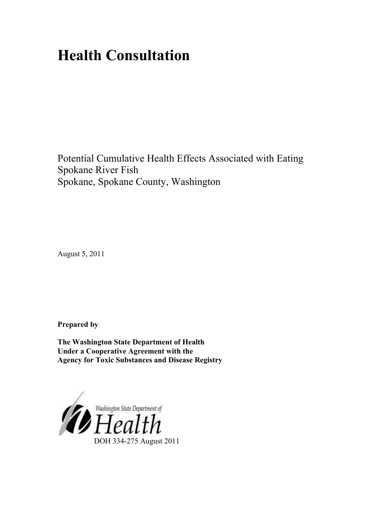# **Health Consultation**

Potential Cumulative Health Effects Associated with Eating Spokane River Fish Spokane, Spokane County, Washington

August 5, 2011

**Prepared by** 

**The Washington State Department of Health Under a Cooperative Agreement with the Agency for Toxic Substances and Disease Registry**

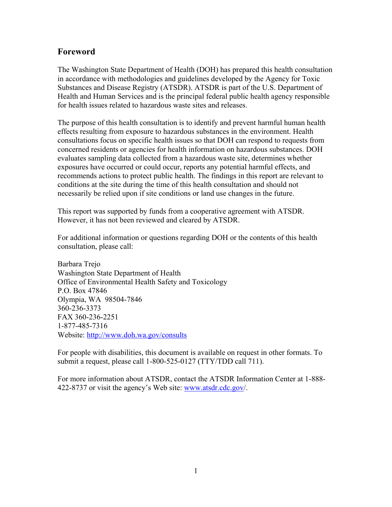## **Foreword**

The Washington State Department of Health (DOH) has prepared this health consultation in accordance with methodologies and guidelines developed by the Agency for Toxic Substances and Disease Registry (ATSDR). ATSDR is part of the U.S. Department of Health and Human Services and is the principal federal public health agency responsible for health issues related to hazardous waste sites and releases.

The purpose of this health consultation is to identify and prevent harmful human health effects resulting from exposure to hazardous substances in the environment. Health consultations focus on specific health issues so that DOH can respond to requests from concerned residents or agencies for health information on hazardous substances. DOH evaluates sampling data collected from a hazardous waste site, determines whether exposures have occurred or could occur, reports any potential harmful effects, and recommends actions to protect public health. The findings in this report are relevant to conditions at the site during the time of this health consultation and should not necessarily be relied upon if site conditions or land use changes in the future.

This report was supported by funds from a cooperative agreement with ATSDR. However, it has not been reviewed and cleared by ATSDR.

For additional information or questions regarding DOH or the contents of this health consultation, please call:

Barbara Trejo Washington State Department of Health Office of Environmental Health Safety and Toxicology P.O. Box 47846 Olympia, WA 98504-7846 360-236-3373 FAX 360-236-2251 1-877-485-7316 Website: <http://www.doh.wa.gov/consults>

For people with disabilities, this document is available on request in other formats. To submit a request, please call 1-800-525-0127 (TTY/TDD call 711).

For more information about ATSDR, contact the ATSDR Information Center at 1-888- 422-8737 or visit the agency's Web site: [www.atsdr.cdc.gov/](http://www.atsdr.cdc.gov/).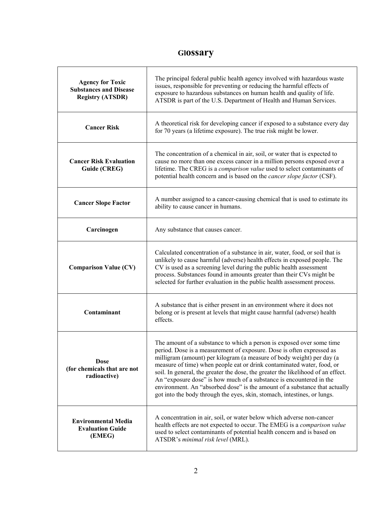# **Glossary**

| <b>Agency for Toxic</b><br><b>Substances and Disease</b><br><b>Registry (ATSDR)</b> | The principal federal public health agency involved with hazardous waste<br>issues, responsible for preventing or reducing the harmful effects of<br>exposure to hazardous substances on human health and quality of life.<br>ATSDR is part of the U.S. Department of Health and Human Services.                                                                                                                                                                                                                                                                                                                       |  |  |  |
|-------------------------------------------------------------------------------------|------------------------------------------------------------------------------------------------------------------------------------------------------------------------------------------------------------------------------------------------------------------------------------------------------------------------------------------------------------------------------------------------------------------------------------------------------------------------------------------------------------------------------------------------------------------------------------------------------------------------|--|--|--|
| <b>Cancer Risk</b>                                                                  | A theoretical risk for developing cancer if exposed to a substance every day<br>for 70 years (a lifetime exposure). The true risk might be lower.                                                                                                                                                                                                                                                                                                                                                                                                                                                                      |  |  |  |
| <b>Cancer Risk Evaluation</b><br>Guide (CREG)                                       | The concentration of a chemical in air, soil, or water that is expected to<br>cause no more than one excess cancer in a million persons exposed over a<br>lifetime. The CREG is a comparison value used to select contaminants of<br>potential health concern and is based on the <i>cancer slope factor</i> (CSF).                                                                                                                                                                                                                                                                                                    |  |  |  |
| <b>Cancer Slope Factor</b>                                                          | A number assigned to a cancer-causing chemical that is used to estimate its<br>ability to cause cancer in humans.                                                                                                                                                                                                                                                                                                                                                                                                                                                                                                      |  |  |  |
| Carcinogen                                                                          | Any substance that causes cancer.                                                                                                                                                                                                                                                                                                                                                                                                                                                                                                                                                                                      |  |  |  |
| <b>Comparison Value (CV)</b>                                                        | Calculated concentration of a substance in air, water, food, or soil that is<br>unlikely to cause harmful (adverse) health effects in exposed people. The<br>CV is used as a screening level during the public health assessment<br>process. Substances found in amounts greater than their CVs might be<br>selected for further evaluation in the public health assessment process.                                                                                                                                                                                                                                   |  |  |  |
| Contaminant                                                                         | A substance that is either present in an environment where it does not<br>belong or is present at levels that might cause harmful (adverse) health<br>effects                                                                                                                                                                                                                                                                                                                                                                                                                                                          |  |  |  |
| <b>Dose</b><br>(for chemicals that are not<br>radioactive)                          | The amount of a substance to which a person is exposed over some time<br>period. Dose is a measurement of exposure. Dose is often expressed as<br>milligram (amount) per kilogram (a measure of body weight) per day (a<br>measure of time) when people eat or drink contaminated water, food, or<br>soil. In general, the greater the dose, the greater the likelihood of an effect.<br>An "exposure dose" is how much of a substance is encountered in the<br>environment. An "absorbed dose" is the amount of a substance that actually<br>got into the body through the eyes, skin, stomach, intestines, or lungs. |  |  |  |
| <b>Environmental Media</b><br><b>Evaluation Guide</b><br>(EMEG)                     | A concentration in air, soil, or water below which adverse non-cancer<br>health effects are not expected to occur. The EMEG is a comparison value<br>used to select contaminants of potential health concern and is based on<br>ATSDR's minimal risk level (MRL).                                                                                                                                                                                                                                                                                                                                                      |  |  |  |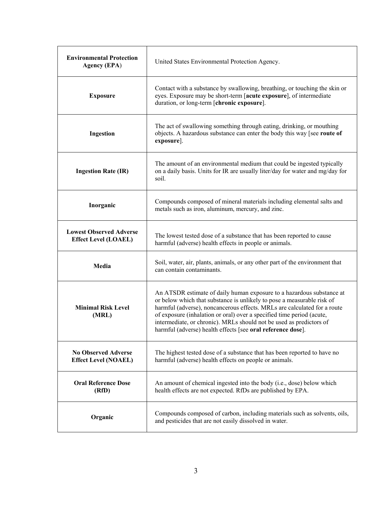| <b>Environmental Protection</b><br><b>Agency (EPA)</b>        | United States Environmental Protection Agency.                                                                                                                                                                                                                                                                                                                                                                                             |  |  |
|---------------------------------------------------------------|--------------------------------------------------------------------------------------------------------------------------------------------------------------------------------------------------------------------------------------------------------------------------------------------------------------------------------------------------------------------------------------------------------------------------------------------|--|--|
| <b>Exposure</b>                                               | Contact with a substance by swallowing, breathing, or touching the skin or<br>eyes. Exposure may be short-term [acute exposure], of intermediate<br>duration, or long-term [chronic exposure].                                                                                                                                                                                                                                             |  |  |
| Ingestion                                                     | The act of swallowing something through eating, drinking, or mouthing<br>objects. A hazardous substance can enter the body this way [see route of<br>exposure].                                                                                                                                                                                                                                                                            |  |  |
| <b>Ingestion Rate (IR)</b>                                    | The amount of an environmental medium that could be ingested typically<br>on a daily basis. Units for IR are usually liter/day for water and mg/day for<br>soil.                                                                                                                                                                                                                                                                           |  |  |
| Inorganic                                                     | Compounds composed of mineral materials including elemental salts and<br>metals such as iron, aluminum, mercury, and zinc.                                                                                                                                                                                                                                                                                                                 |  |  |
| <b>Lowest Observed Adverse</b><br><b>Effect Level (LOAEL)</b> | The lowest tested dose of a substance that has been reported to cause<br>harmful (adverse) health effects in people or animals.                                                                                                                                                                                                                                                                                                            |  |  |
| Media                                                         | Soil, water, air, plants, animals, or any other part of the environment that<br>can contain contaminants.                                                                                                                                                                                                                                                                                                                                  |  |  |
| <b>Minimal Risk Level</b><br>(MRL)                            | An ATSDR estimate of daily human exposure to a hazardous substance at<br>or below which that substance is unlikely to pose a measurable risk of<br>harmful (adverse), noncancerous effects. MRLs are calculated for a route<br>of exposure (inhalation or oral) over a specified time period (acute,<br>intermediate, or chronic). MRLs should not be used as predictors of<br>harmful (adverse) health effects [see oral reference dose]. |  |  |
| <b>No Observed Adverse</b><br><b>Effect Level (NOAEL)</b>     | The highest tested dose of a substance that has been reported to have no<br>harmful (adverse) health effects on people or animals.                                                                                                                                                                                                                                                                                                         |  |  |
| <b>Oral Reference Dose</b><br>(RfD)                           | An amount of chemical ingested into the body (i.e., dose) below which<br>health effects are not expected. RfDs are published by EPA.                                                                                                                                                                                                                                                                                                       |  |  |
| Organic                                                       | Compounds composed of carbon, including materials such as solvents, oils,<br>and pesticides that are not easily dissolved in water.                                                                                                                                                                                                                                                                                                        |  |  |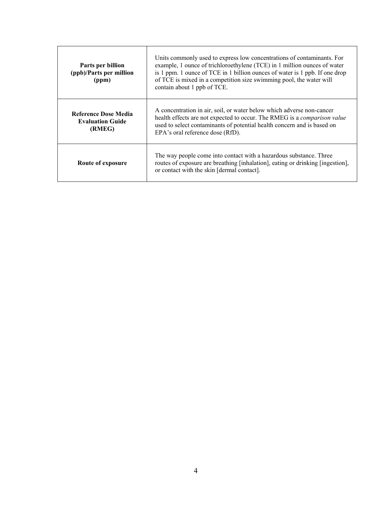| Parts per billion<br>(ppb)/Parts per million<br>(ppm)            | Units commonly used to express low concentrations of contaminants. For<br>example, 1 ounce of trichloroethylene (TCE) in 1 million ounces of water<br>is 1 ppm. 1 ounce of TCE in 1 billion ounces of water is 1 ppb. If one drop<br>of TCE is mixed in a competition size swimming pool, the water will<br>contain about 1 ppb of TCE. |  |  |
|------------------------------------------------------------------|-----------------------------------------------------------------------------------------------------------------------------------------------------------------------------------------------------------------------------------------------------------------------------------------------------------------------------------------|--|--|
| <b>Reference Dose Media</b><br><b>Evaluation Guide</b><br>(RMEG) | A concentration in air, soil, or water below which adverse non-cancer<br>health effects are not expected to occur. The RMEG is a <i>comparison value</i><br>used to select contaminants of potential health concern and is based on<br>EPA's oral reference dose (RfD).                                                                 |  |  |
| Route of exposure                                                | The way people come into contact with a hazardous substance. Three<br>routes of exposure are breathing [inhalation], eating or drinking [ingestion],<br>or contact with the skin [dermal contact].                                                                                                                                      |  |  |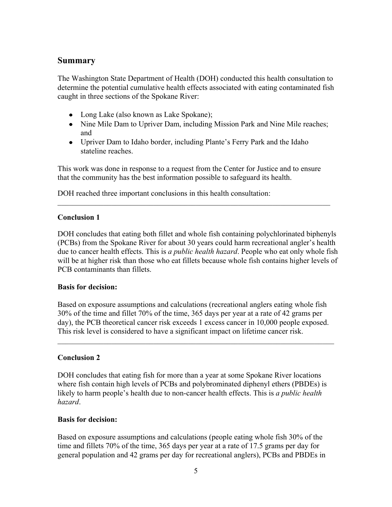## **Summary**

The Washington State Department of Health (DOH) conducted this health consultation to determine the potential cumulative health effects associated with eating contaminated fish caught in three sections of the Spokane River:

- Long Lake (also known as Lake Spokane);
- Nine Mile Dam to Upriver Dam, including Mission Park and Nine Mile reaches; and
- Upriver Dam to Idaho border, including Plante's Ferry Park and the Idaho stateline reaches.

This work was done in response to a request from the Center for Justice and to ensure that the community has the best information possible to safeguard its health.

\_\_\_\_\_\_\_\_\_\_\_\_\_\_\_\_\_\_\_\_\_\_\_\_\_\_\_\_\_\_\_\_\_\_\_\_\_\_\_\_\_\_\_\_\_\_\_\_\_\_\_\_\_\_\_\_\_\_\_\_\_\_\_\_\_\_\_\_\_\_\_

DOH reached three important conclusions in this health consultation:

#### **Conclusion 1**

DOH concludes that eating both fillet and whole fish containing polychlorinated biphenyls (PCBs) from the Spokane River for about 30 years could harm recreational angler's health due to cancer health effects. This is *a public health hazard*. People who eat only whole fish will be at higher risk than those who eat fillets because whole fish contains higher levels of PCB contaminants than fillets.

#### **Basis for decision:**

Based on exposure assumptions and calculations (recreational anglers eating whole fish 30% of the time and fillet 70% of the time, 365 days per year at a rate of 42 grams per day), the PCB theoretical cancer risk exceeds 1 excess cancer in 10,000 people exposed. This risk level is considered to have a significant impact on lifetime cancer risk.

\_\_\_\_\_\_\_\_\_\_\_\_\_\_\_\_\_\_\_\_\_\_\_\_\_\_\_\_\_\_\_\_\_\_\_\_\_\_\_\_\_\_\_\_\_\_\_\_\_\_\_\_\_\_\_\_\_\_\_\_\_\_\_\_\_\_\_\_\_\_\_\_

## **Conclusion 2**

DOH concludes that eating fish for more than a year at some Spokane River locations where fish contain high levels of PCBs and polybrominated diphenyl ethers (PBDEs) is likely to harm people's health due to non-cancer health effects. This is *a public health hazard*.

## **Basis for decision:**

Based on exposure assumptions and calculations (people eating whole fish 30% of the time and fillets 70% of the time, 365 days per year at a rate of 17.5 grams per day for general population and 42 grams per day for recreational anglers), PCBs and PBDEs in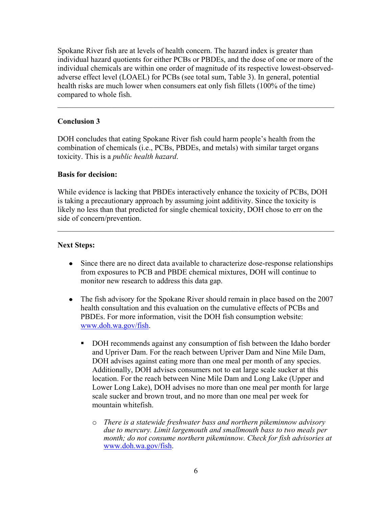Spokane River fish are at levels of health concern. The hazard index is greater than individual hazard quotients for either PCBs or PBDEs, and the dose of one or more of the individual chemicals are within one order of magnitude of its respective lowest-observedadverse effect level (LOAEL) for PCBs (see total sum, Table 3). In general, potential health risks are much lower when consumers eat only fish fillets (100% of the time) compared to whole fish.

 $\_$  , and the contribution of the contribution of  $\mathcal{L}_1$  , and  $\mathcal{L}_2$  , and  $\mathcal{L}_3$  , and  $\mathcal{L}_4$  , and  $\mathcal{L}_5$  , and  $\mathcal{L}_6$  , and  $\mathcal{L}_7$  , and  $\mathcal{L}_8$  , and  $\mathcal{L}_7$  , and  $\mathcal{L}_8$  , and  $\mathcal{L}_9$  ,

## **Conclusion 3**

DOH concludes that eating Spokane River fish could harm people's health from the combination of chemicals (i.e., PCBs, PBDEs, and metals) with similar target organs toxicity. This is a *public health hazard*.

#### **Basis for decision:**

While evidence is lacking that PBDEs interactively enhance the toxicity of PCBs, DOH is taking a precautionary approach by assuming joint additivity. Since the toxicity is likely no less than that predicted for single chemical toxicity, DOH chose to err on the side of concern/prevention.

\_\_\_\_\_\_\_\_\_\_\_\_\_\_\_\_\_\_\_\_\_\_\_\_\_\_\_\_\_\_\_\_\_\_\_\_\_\_\_\_\_\_\_\_\_\_\_\_\_\_\_\_\_\_\_\_\_\_\_\_\_\_\_\_\_\_\_\_\_\_\_\_

#### **Next Steps:**

- Since there are no direct data available to characterize dose-response relationships from exposures to PCB and PBDE chemical mixtures, DOH will continue to monitor new research to address this data gap.
- The fish advisory for the Spokane River should remain in place based on the 2007 health consultation and this evaluation on the cumulative effects of PCBs and PBDEs. For more information, visit the DOH fish consumption website: [www.doh.wa.gov/fish.](http://www.doh.wa.gov/fish)
	- DOH recommends against any consumption of fish between the Idaho border and Upriver Dam. For the reach between Upriver Dam and Nine Mile Dam, DOH advises against eating more than one meal per month of any species. Additionally, DOH advises consumers not to eat large scale sucker at this location. For the reach between Nine Mile Dam and Long Lake (Upper and Lower Long Lake), DOH advises no more than one meal per month for large scale sucker and brown trout, and no more than one meal per week for mountain whitefish.
		- o *There is a statewide freshwater bass and northern pikeminnow advisory due to mercury. Limit largemouth and smallmouth bass to two meals per month; do not consume northern pikeminnow. Check for fish advisories at* [www.doh.wa.gov/fish.](http://www.doh.wa.gov/fish)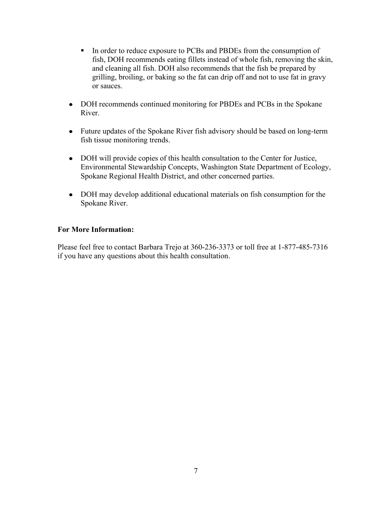- In order to reduce exposure to PCBs and PBDEs from the consumption of fish, DOH recommends eating fillets instead of whole fish, removing the skin, and cleaning all fish. DOH also recommends that the fish be prepared by grilling, broiling, or baking so the fat can drip off and not to use fat in gravy or sauces.
- DOH recommends continued monitoring for PBDEs and PCBs in the Spokane River.
- Future updates of the Spokane River fish advisory should be based on long-term fish tissue monitoring trends.
- DOH will provide copies of this health consultation to the Center for Justice, Environmental Stewardship Concepts, Washington State Department of Ecology, Spokane Regional Health District, and other concerned parties.
- DOH may develop additional educational materials on fish consumption for the Spokane River.

## **For More Information:**

Please feel free to contact Barbara Trejo at 360-236-3373 or toll free at 1-877-485-7316 if you have any questions about this health consultation.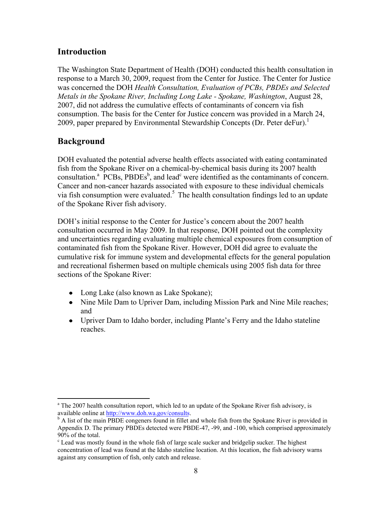## **Introduction**

The Washington State Department of Health (DOH) conducted this health consultation in response to a March 30, 2009, request from the Center for Justice. The Center for Justice was concerned the DOH *Health Consultation, Evaluation of PCBs, PBDEs and Selected Metals in the Spokane River, Including Long Lake - Spokane, Washington*, August 28, 2007, did not address the cumulative effects of contaminants of concern via fish consumption. The basis for the Center for Justice concern was provided in a March 24, 2009, paper prepared by Environmental Stewardship Concepts (Dr. Peter deFur).<sup>1</sup>

## **Background**

DOH evaluated the potential adverse health effects associated with eating contaminated fish from the Spokane River on a chemical-by-chemical basis during its 2007 health consultation.<sup>a</sup> PCBs, PBDEs<sup>b</sup>, and lead<sup>c</sup> were identified as the contaminants of concern. Cancer and non-cancer hazards associated with exposure to these individual chemicals via fish consumption were evaluated.<sup>5</sup> The health consultation findings led to an update of the Spokane River fish advisory.

DOH's initial response to the Center for Justice's concern about the 2007 health consultation occurred in May 2009. In that response, DOH pointed out the complexity and uncertainties regarding evaluating multiple chemical exposures from consumption of contaminated fish from the Spokane River. However, DOH did agree to evaluate the cumulative risk for immune system and developmental effects for the general population and recreational fishermen based on multiple chemicals using 2005 fish data for three sections of the Spokane River:

- Long Lake (also known as Lake Spokane);
- Nine Mile Dam to Upriver Dam, including Mission Park and Nine Mile reaches; and
- Upriver Dam to Idaho border, including Plante's Ferry and the Idaho stateline reaches.

 $\overline{a}$ <sup>a</sup> The 2007 health consultation report, which led to an update of the Spokane River fish advisory, is available online a[t http://www.doh.wa.gov/](http://www.doh.wa.gov/consults)consults.

<sup>&</sup>lt;sup>b</sup> A list of the main PBDE congeners found in fillet and whole fish from the Spokane River is provided in Appendix D. The primary PBDEs detected were PBDE-47, -99, and -100, which comprised approximately 90% of the total.

<sup>&</sup>lt;sup>c</sup> Lead was mostly found in the whole fish of large scale sucker and bridgelip sucker. The highest concentration of lead was found at the Idaho stateline location. At this location, the fish advisory warns against any consumption of fish, only catch and release.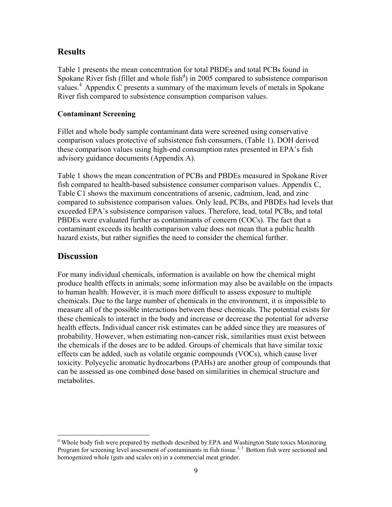## **Results**

Table 1 presents the mean concentration for total PBDEs and total PCBs found in Spokane River fish (fillet and whole fish $d$ ) in 2005 compared to subsistence comparison values.<sup>4</sup> Appendix C presents a summary of the maximum levels of metals in Spokane River fish compared to subsistence consumption comparison values.

#### **Contaminant Screening**

Fillet and whole body sample contaminant data were screened using conservative comparison values protective of subsistence fish consumers, (Table 1). DOH derived these comparison values using high-end consumption rates presented in EPA's fish advisory guidance documents (Appendix A).

Table 1 shows the mean concentration of PCBs and PBDEs measured in Spokane River fish compared to health-based subsistence consumer comparison values. Appendix C, Table C1 shows the maximum concentrations of arsenic, cadmium, lead, and zinc compared to subsistence comparison values. Only lead, PCBs, and PBDEs had levels that exceeded EPA's subsistence comparison values. Therefore, lead, total PCBs, and total PBDEs were evaluated further as contaminants of concern (COCs). The fact that a contaminant exceeds its health comparison value does not mean that a public health hazard exists, but rather signifies the need to consider the chemical further.

## **Discussion**

 $\overline{a}$ 

For many individual chemicals, information is available on how the chemical might produce health effects in animals; some information may also be available on the impacts to human health. However, it is much more difficult to assess exposure to multiple chemicals. Due to the large number of chemicals in the environment, it is impossible to measure all of the possible interactions between these chemicals. The potential exists for these chemicals to interact in the body and increase or decrease the potential for adverse health effects. Individual cancer risk estimates can be added since they are measures of probability. However, when estimating non-cancer risk, similarities must exist between the chemicals if the doses are to be added. Groups of chemicals that have similar toxic effects can be added, such as volatile organic compounds (VOCs), which cause liver toxicity. Polycyclic aromatic hydrocarbons (PAHs) are another group of compounds that can be assessed as one combined dose based on similarities in chemical structure and metabolites.

<sup>&</sup>lt;sup>d</sup> Whole body fish were prepared by methods described by EPA and Washington State toxics Monitoring Program for screening level assessment of contaminants in fish tissue.<sup>2, 3</sup> Bottom fish were sectioned and homogenized whole (guts and scales on) in a commercial meat grinder.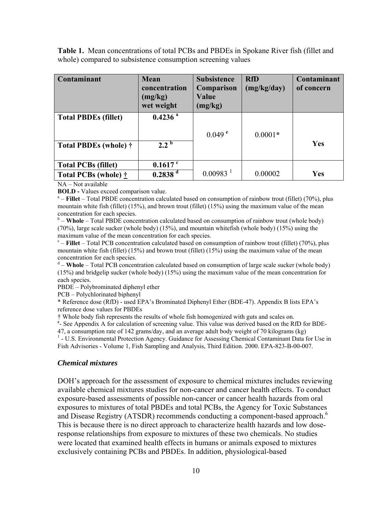**Table 1.** Mean concentrations of total PCBs and PBDEs in Spokane River fish (fillet and whole) compared to subsistence consumption screening values

| Contaminant                                | <b>Mean</b><br>concentration<br>(mg/kg)<br>wet weight | <b>Subsistence</b><br>Comparison<br>Value<br>(mg/kg) | <b>RfD</b><br>(mg/kg/day) | Contaminant<br>of concern |
|--------------------------------------------|-------------------------------------------------------|------------------------------------------------------|---------------------------|---------------------------|
| <b>Total PBDEs (fillet)</b>                | $0.4236$ <sup>a</sup>                                 |                                                      |                           |                           |
|                                            |                                                       | $0.049$ <sup>e</sup>                                 | $0.0001*$                 |                           |
| Total PBDEs (whole) †                      | $2.2^{\circ}$                                         |                                                      |                           | Yes                       |
| <b>Total PCBs (fillet)</b>                 | $0.1617$ c                                            |                                                      |                           |                           |
| <b>Total PCBs (whole)</b> $\dot{\uparrow}$ | $0.2838$ <sup>d</sup>                                 | $0.00983$ <sup>1</sup>                               | 0.00002                   | Yes                       |

NA – Not available

**BOLD -** Values exceed comparison value.

<sup>a</sup> – **Fillet** – Total PBDE concentration calculated based on consumption of rainbow trout (fillet) (70%), plus mountain white fish (fillet) (15%), and brown trout (fillet) (15%) using the maximum value of the mean concentration for each species.

<sup>b</sup> – **Whole** – Total PBDE concentration calculated based on consumption of rainbow trout (whole body) (70%), large scale sucker (whole body) (15%), and mountain whitefish (whole body) (15%) using the maximum value of the mean concentration for each species.

<sup>c</sup> – **Fillet** – Total PCB concentration calculated based on consumption of rainbow trout (fillet) (70%), plus mountain white fish (fillet) (15%) and brown trout (fillet) (15%) using the maximum value of the mean concentration for each species.

<sup>d</sup> – Whole – Total PCB concentration calculated based on consumption of large scale sucker (whole body) (15%) and bridgelip sucker (whole body) (15%) using the maximum value of the mean concentration for each species.

PBDE – Polybrominated diphenyl ether

PCB – Polychlorinated biphenyl

\* Reference dose (RfD) - used EPA's Brominated Diphenyl Ether (BDE-47). Appendix B lists EPA's reference dose values for PBDEs

† Whole body fish represents the results of whole fish homogenized with guts and scales on.

<sup>e</sup>- See Appendix A for calculation of screening value. This value was derived based on the RfD for BDE-

47, a consumption rate of 142 grams/day, and an average adult body weight of 70 kilograms (kg)

<sup>1</sup> - U.S. Environmental Protection Agency. Guidance for Assessing Chemical Contaminant Data for Use in Fish Advisories - Volume 1, Fish Sampling and Analysis, Third Edition. 2000. EPA-823-B-00-007.

#### *Chemical mixtures*

DOH's approach for the assessment of exposure to chemical mixtures includes reviewing available chemical mixtures studies for non-cancer and cancer health effects. To conduct exposure-based assessments of possible non-cancer or cancer health hazards from oral exposures to mixtures of total PBDEs and total PCBs, the Agency for Toxic Substances and Disease Registry (ATSDR) recommends conducting a component-based approach.<sup>6</sup> This is because there is no direct approach to characterize health hazards and low doseresponse relationships from exposure to mixtures of these two chemicals. No studies were located that examined health effects in humans or animals exposed to mixtures exclusively containing PCBs and PBDEs. In addition, physiological-based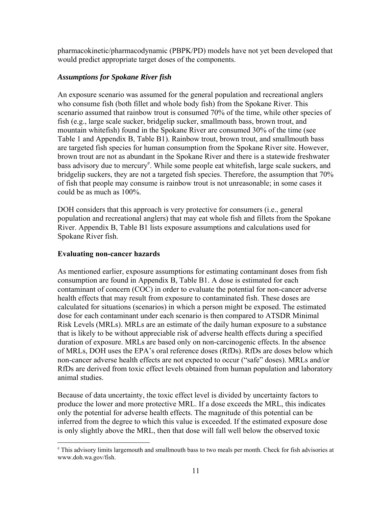pharmacokinetic/pharmacodynamic (PBPK/PD) models have not yet been developed that would predict appropriate target doses of the components.

## *Assumptions for Spokane River fish*

An exposure scenario was assumed for the general population and recreational anglers who consume fish (both fillet and whole body fish) from the Spokane River. This scenario assumed that rainbow trout is consumed 70% of the time, while other species of fish (e.g., large scale sucker, bridgelip sucker, smallmouth bass, brown trout, and mountain whitefish) found in the Spokane River are consumed 30% of the time (see Table 1 and Appendix B, Table B1). Rainbow trout, brown trout, and smallmouth bass are targeted fish species for human consumption from the Spokane River site. However, brown trout are not as abundant in the Spokane River and there is a statewide freshwater bass advisory due to mercury<sup>e</sup>. While some people eat whitefish, large scale suckers, and bridgelip suckers, they are not a targeted fish species. Therefore, the assumption that 70% of fish that people may consume is rainbow trout is not unreasonable; in some cases it could be as much as 100%.

DOH considers that this approach is very protective for consumers (i.e., general population and recreational anglers) that may eat whole fish and fillets from the Spokane River. Appendix B, Table B1 lists exposure assumptions and calculations used for Spokane River fish.

## **Evaluating non-cancer hazards**

As mentioned earlier, exposure assumptions for estimating contaminant doses from fish consumption are found in Appendix B, Table B1. A dose is estimated for each contaminant of concern (COC) in order to evaluate the potential for non-cancer adverse health effects that may result from exposure to contaminated fish. These doses are calculated for situations (scenarios) in which a person might be exposed. The estimated dose for each contaminant under each scenario is then compared to ATSDR Minimal Risk Levels (MRLs). MRLs are an estimate of the daily human exposure to a substance that is likely to be without appreciable risk of adverse health effects during a specified duration of exposure. MRLs are based only on non-carcinogenic effects. In the absence of MRLs, DOH uses the EPA's oral reference doses (RfDs). RfDs are doses below which non-cancer adverse health effects are not expected to occur ("safe" doses). MRLs and/or RfDs are derived from toxic effect levels obtained from human population and laboratory animal studies.

Because of data uncertainty, the toxic effect level is divided by uncertainty factors to produce the lower and more protective MRL. If a dose exceeds the MRL, this indicates only the potential for adverse health effects. The magnitude of this potential can be inferred from the degree to which this value is exceeded. If the estimated exposure dose is only slightly above the MRL, then that dose will fall well below the observed toxic

 $\overline{a}$ e This advisory limits largemouth and smallmouth bass to two meals per month. Check for fish advisories at www.doh.wa.gov/fish.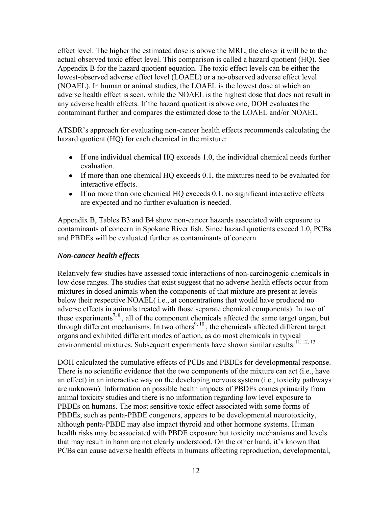effect level. The higher the estimated dose is above the MRL, the closer it will be to the actual observed toxic effect level. This comparison is called a hazard quotient (HQ). See Appendix B for the hazard quotient equation. The toxic effect levels can be either the lowest-observed adverse effect level (LOAEL) or a no-observed adverse effect level (NOAEL). In human or animal studies, the LOAEL is the lowest dose at which an adverse health effect is seen, while the NOAEL is the highest dose that does not result in any adverse health effects. If the hazard quotient is above one, DOH evaluates the contaminant further and compares the estimated dose to the LOAEL and/or NOAEL.

ATSDR's approach for evaluating non-cancer health effects recommends calculating the hazard quotient (HQ) for each chemical in the mixture:

- If one individual chemical HQ exceeds 1.0, the individual chemical needs further evaluation.
- If more than one chemical HQ exceeds 0.1, the mixtures need to be evaluated for interactive effects.
- If no more than one chemical HQ exceeds 0.1, no significant interactive effects are expected and no further evaluation is needed.

Appendix B, Tables B3 and B4 show non-cancer hazards associated with exposure to contaminants of concern in Spokane River fish. Since hazard quotients exceed 1.0, PCBs and PBDEs will be evaluated further as contaminants of concern.

#### *Non-cancer health effects*

Relatively few studies have assessed toxic interactions of non-carcinogenic chemicals in low dose ranges. The studies that exist suggest that no adverse health effects occur from mixtures in dosed animals when the components of that mixture are present at levels below their respective NOAEL( i.e., at concentrations that would have produced no adverse effects in animals treated with those separate chemical components). In two of these experiments<sup>7, 8</sup>, all of the component chemicals affected the same target organ, but through different mechanisms. In two others<sup>9, 10</sup>, the chemicals affected different target organs and exhibited different modes of action, as do most chemicals in typical environmental mixtures. Subsequent experiments have shown similar results.<sup>11, 12, 13</sup>

DOH calculated the cumulative effects of PCBs and PBDEs for developmental response. There is no scientific evidence that the two components of the mixture can act (i.e., have an effect) in an interactive way on the developing nervous system (i.e., toxicity pathways are unknown). Information on possible health impacts of PBDEs comes primarily from animal toxicity studies and there is no information regarding low level exposure to PBDEs on humans. The most sensitive toxic effect associated with some forms of PBDEs, such as penta-PBDE congeners, appears to be developmental neurotoxicity, although penta-PBDE may also impact thyroid and other hormone systems. Human health risks may be associated with PBDE exposure but toxicity mechanisms and levels that may result in harm are not clearly understood. On the other hand, it's known that PCBs can cause adverse health effects in humans affecting reproduction, developmental,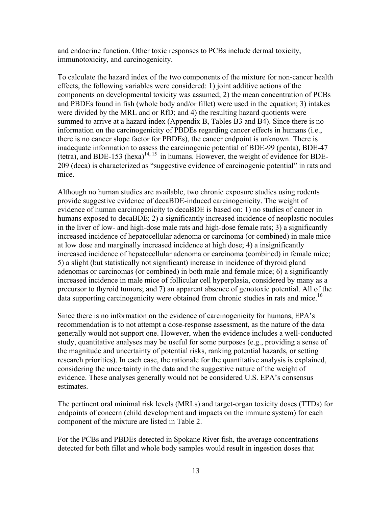and endocrine function. Other toxic responses to PCBs include dermal toxicity, immunotoxicity, and carcinogenicity.

To calculate the hazard index of the two components of the mixture for non-cancer health effects, the following variables were considered: 1) joint additive actions of the components on developmental toxicity was assumed; 2) the mean concentration of PCBs and PBDEs found in fish (whole body and/or fillet) were used in the equation; 3) intakes were divided by the MRL and or RfD; and 4) the resulting hazard quotients were summed to arrive at a hazard index (Appendix B, Tables B3 and B4). Since there is no information on the carcinogenicity of PBDEs regarding cancer effects in humans (i.e., there is no cancer slope factor for PBDEs), the cancer endpoint is unknown. There is inadequate information to assess the carcinogenic potential of BDE-99 (penta), BDE-47 (tetra), and BDE-153 (hexa)<sup>14, 15</sup> in humans. However, the weight of evidence for BDE-209 (deca) is characterized as "suggestive evidence of carcinogenic potential" in rats and mice.

Although no human studies are available, two chronic exposure studies using rodents provide suggestive evidence of decaBDE-induced carcinogenicity. The weight of evidence of human carcinogenicity to decaBDE is based on: 1) no studies of cancer in humans exposed to decaBDE; 2) a significantly increased incidence of neoplastic nodules in the liver of low- and high-dose male rats and high-dose female rats; 3) a significantly increased incidence of hepatocellular adenoma or carcinoma (or combined) in male mice at low dose and marginally increased incidence at high dose; 4) a insignificantly increased incidence of hepatocellular adenoma or carcinoma (combined) in female mice; 5) a slight (but statistically not significant) increase in incidence of thyroid gland adenomas or carcinomas (or combined) in both male and female mice; 6) a significantly increased incidence in male mice of follicular cell hyperplasia, considered by many as a precursor to thyroid tumors; and 7) an apparent absence of genotoxic potential. All of the data supporting carcinogenicity were obtained from chronic studies in rats and mice.<sup>16</sup>

Since there is no information on the evidence of carcinogenicity for humans, EPA's recommendation is to not attempt a dose-response assessment, as the nature of the data generally would not support one. However, when the evidence includes a well-conducted study, quantitative analyses may be useful for some purposes (e.g., providing a sense of the magnitude and uncertainty of potential risks, ranking potential hazards, or setting research priorities). In each case, the rationale for the quantitative analysis is explained, considering the uncertainty in the data and the suggestive nature of the weight of evidence. These analyses generally would not be considered U.S. EPA's consensus estimates.

The pertinent oral minimal risk levels (MRLs) and target-organ toxicity doses (TTDs) for endpoints of concern (child development and impacts on the immune system) for each component of the mixture are listed in Table 2.

For the PCBs and PBDEs detected in Spokane River fish, the average concentrations detected for both fillet and whole body samples would result in ingestion doses that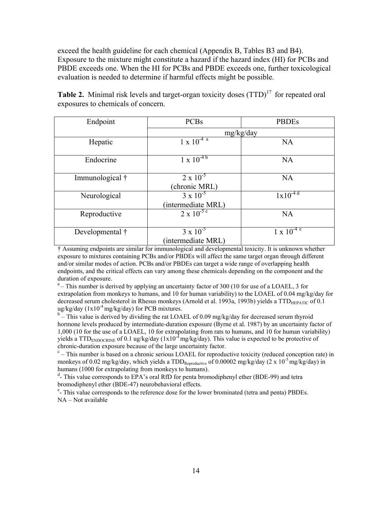exceed the health guideline for each chemical (Appendix B, Tables B3 and B4). Exposure to the mixture might constitute a hazard if the hazard index (HI) for PCBs and PBDE exceeds one. When the HI for PCBs and PBDE exceeds one, further toxicological evaluation is needed to determine if harmful effects might be possible.

| Endpoint        | <b>PCBs</b>                              | <b>PBDEs</b>       |
|-----------------|------------------------------------------|--------------------|
|                 |                                          | mg/kg/day          |
| Hepatic         | $1 \times 10^{-4}$                       | <b>NA</b>          |
| Endocrine       | $1 \times 10^{-4}$                       | <b>NA</b>          |
| Immunological † | $2 \times 10^{-5}$<br>(chronic MRL)      | <b>NA</b>          |
| Neurological    | $3 \times 10^{-5}$<br>(intermediate MRL) | $1x10^{-4d}$       |
| Reproductive    | $2 \times 10^{-5}$                       | <b>NA</b>          |
| Developmental † | $3 \times 10^{-5}$<br>(intermediate MRL) | $1 \times 10^{-4}$ |

Table 2. Minimal risk levels and target-organ toxicity doses (TTD)<sup>17</sup> for repeated oral exposures to chemicals of concern.

† Assuming endpoints are similar for immunological and developmental toxicity. It is unknown whether exposure to mixtures containing PCBs and/or PBDEs will affect the same target organ through different and/or similar modes of action. PCBs and/or PBDEs can target a wide range of overlapping health endpoints, and the critical effects can vary among these chemicals depending on the component and the duration of exposure.

 $a$ – This number is derived by applying an uncertainty factor of 300 (10 for use of a LOAEL, 3 for extrapolation from monkeys to humans, and 10 for human variability) to the LOAEL of 0.04 mg/kg/day for decreased serum cholesterol in Rhesus monkeys (Arnold et al. 1993a, 1993b) yields a TTD<sub>HEPATIC</sub> of 0.1 ug/kg/day ( $1x10^{-4}$  mg/kg/day) for PCB mixtures.

 $b$  – This value is derived by dividing the rat LOAEL of 0.09 mg/kg/day for decreased serum thyroid hormone levels produced by intermediate-duration exposure (Byrne et al. 1987) by an uncertainty factor of 1,000 (10 for the use of a LOAEL, 10 for extrapolating from rats to humans, and 10 for human variability) yields a TTD<sub>ENDOCRINE</sub> of 0.1 ug/kg/day (1x10<sup>-4</sup> mg/kg/day). This value is expected to be protective of chronic-duration exposure because of the large uncertainty factor.

 $c$  – This number is based on a chronic serious LOAEL for reproductive toxicity (reduced conception rate) in monkeys of 0.02 mg/kg/day, which yields a  $TDD_{Reproductive}$  of 0.00002 mg/kg/day (2 x 10<sup>-5</sup> mg/kg/day) in humans (1000 for extrapolating from monkeys to humans).

<sup>d</sup>- This value corresponds to EPA's oral RfD for penta bromodiphenyl ether (BDE-99) and tetra bromodiphenyl ether (BDE-47) neurobehavioral effects.

<sup>e</sup>- This value corresponds to the reference dose for the lower brominated (tetra and penta) PBDEs. NA – Not available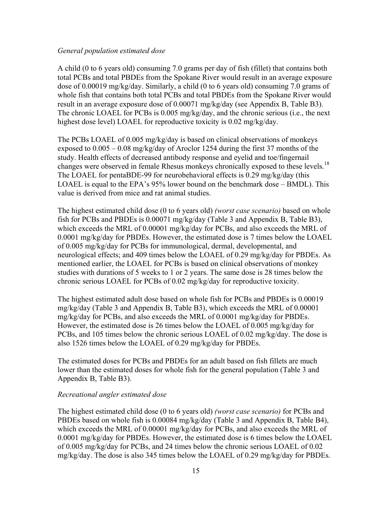#### *General population estimated dose*

A child (0 to 6 years old) consuming 7.0 grams per day of fish (fillet) that contains both total PCBs and total PBDEs from the Spokane River would result in an average exposure dose of 0.00019 mg/kg/day. Similarly, a child (0 to 6 years old) consuming 7.0 grams of whole fish that contains both total PCBs and total PBDEs from the Spokane River would result in an average exposure dose of 0.00071 mg/kg/day (see Appendix B, Table B3). The chronic LOAEL for PCBs is 0.005 mg/kg/day, and the chronic serious (i.e., the next highest dose level) LOAEL for reproductive toxicity is 0.02 mg/kg/day.

The PCBs LOAEL of 0.005 mg/kg/day is based on clinical observations of monkeys exposed to 0.005 – 0.08 mg/kg/day of Aroclor 1254 during the first 37 months of the study. Health effects of decreased antibody response and eyelid and toe/fingernail changes were observed in female Rhesus monkeys chronically exposed to these levels.<sup>18</sup> The LOAEL for pentaBDE-99 for neurobehavioral effects is 0.29 mg/kg/day (this LOAEL is equal to the EPA's 95% lower bound on the benchmark dose – BMDL). This value is derived from mice and rat animal studies.

The highest estimated child dose (0 to 6 years old) *(worst case scenario)* based on whole fish for PCBs and PBDEs is 0.00071 mg/kg/day (Table 3 and Appendix B, Table B3), which exceeds the MRL of 0.00001 mg/kg/day for PCBs, and also exceeds the MRL of 0.0001 mg/kg/day for PBDEs. However, the estimated dose is 7 times below the LOAEL of 0.005 mg/kg/day for PCBs for immunological, dermal, developmental, and neurological effects; and 409 times below the LOAEL of 0.29 mg/kg/day for PBDEs. As mentioned earlier, the LOAEL for PCBs is based on clinical observations of monkey studies with durations of 5 weeks to 1 or 2 years. The same dose is 28 times below the chronic serious LOAEL for PCBs of 0.02 mg/kg/day for reproductive toxicity.

The highest estimated adult dose based on whole fish for PCBs and PBDEs is 0.00019 mg/kg/day (Table 3 and Appendix B, Table B3), which exceeds the MRL of 0.00001 mg/kg/day for PCBs, and also exceeds the MRL of 0.0001 mg/kg/day for PBDEs. However, the estimated dose is 26 times below the LOAEL of 0.005 mg/kg/day for PCBs, and 105 times below the chronic serious LOAEL of 0.02 mg/kg/day. The dose is also 1526 times below the LOAEL of 0.29 mg/kg/day for PBDEs.

The estimated doses for PCBs and PBDEs for an adult based on fish fillets are much lower than the estimated doses for whole fish for the general population (Table 3 and Appendix B, Table B3).

#### *Recreational angler estimated dose*

The highest estimated child dose (0 to 6 years old) *(worst case scenario)* for PCBs and PBDEs based on whole fish is 0.00084 mg/kg/day (Table 3 and Appendix B, Table B4), which exceeds the MRL of 0.00001 mg/kg/day for PCBs, and also exceeds the MRL of 0.0001 mg/kg/day for PBDEs. However, the estimated dose is 6 times below the LOAEL of 0.005 mg/kg/day for PCBs, and 24 times below the chronic serious LOAEL of 0.02 mg/kg/day. The dose is also 345 times below the LOAEL of 0.29 mg/kg/day for PBDEs.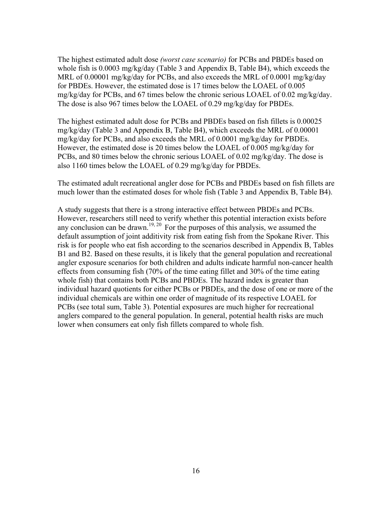The highest estimated adult dose *(worst case scenario)* for PCBs and PBDEs based on whole fish is 0.0003 mg/kg/day (Table 3 and Appendix B, Table B4), which exceeds the MRL of 0.00001 mg/kg/day for PCBs, and also exceeds the MRL of 0.0001 mg/kg/day for PBDEs. However, the estimated dose is 17 times below the LOAEL of 0.005 mg/kg/day for PCBs, and 67 times below the chronic serious LOAEL of 0.02 mg/kg/day. The dose is also 967 times below the LOAEL of 0.29 mg/kg/day for PBDEs.

The highest estimated adult dose for PCBs and PBDEs based on fish fillets is 0.00025 mg/kg/day (Table 3 and Appendix B, Table B4), which exceeds the MRL of 0.00001 mg/kg/day for PCBs, and also exceeds the MRL of 0.0001 mg/kg/day for PBDEs. However, the estimated dose is 20 times below the LOAEL of 0.005 mg/kg/day for PCBs, and 80 times below the chronic serious LOAEL of 0.02 mg/kg/day. The dose is also 1160 times below the LOAEL of 0.29 mg/kg/day for PBDEs.

The estimated adult recreational angler dose for PCBs and PBDEs based on fish fillets are much lower than the estimated doses for whole fish (Table 3 and Appendix B, Table B4).

A study suggests that there is a strong interactive effect between PBDEs and PCBs. However, researchers still need to verify whether this potential interaction exists before any conclusion can be drawn.<sup>19, 20</sup> For the purposes of this analysis, we assumed the default assumption of joint additivity risk from eating fish from the Spokane River. This risk is for people who eat fish according to the scenarios described in Appendix B, Tables B1 and B2. Based on these results, it is likely that the general population and recreational angler exposure scenarios for both children and adults indicate harmful non-cancer health effects from consuming fish (70% of the time eating fillet and 30% of the time eating whole fish) that contains both PCBs and PBDEs. The hazard index is greater than individual hazard quotients for either PCBs or PBDEs, and the dose of one or more of the individual chemicals are within one order of magnitude of its respective LOAEL for PCBs (see total sum, Table 3). Potential exposures are much higher for recreational anglers compared to the general population. In general, potential health risks are much lower when consumers eat only fish fillets compared to whole fish.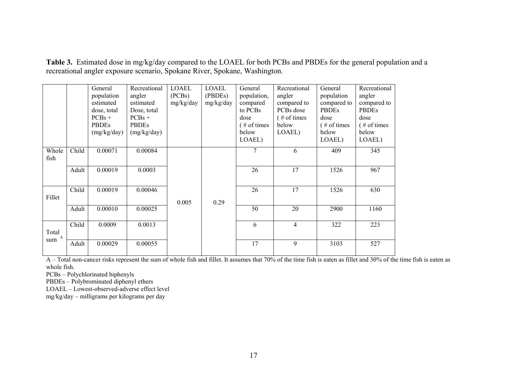**Table 3.** Estimated dose in mg/kg/day compared to the LOAEL for both PCBs and PBDEs for the general population and a recreational angler exposure scenario, Spokane River, Spokane, Washington.

|               |       | General<br>population<br>estimated<br>dose, total<br>$PCBs +$<br><b>PBDEs</b><br>(mg/kg/day) | Recreational<br>angler<br>estimated<br>Dose, total<br>$PCBs +$<br><b>PBDEs</b><br>(mg/kg/day) | <b>LOAEL</b><br>(PCBs)<br>mg/kg/day | <b>LOAEL</b><br>(PBDEs)<br>mg/kg/day | General<br>population,<br>compared<br>to PCBs<br>dose<br>$($ # of times<br>below<br>LOAEL) | Recreational<br>angler<br>compared to<br>PCBs dose<br>$($ # of times<br>below<br>LOAEL) | General<br>population<br>compared to<br>PBDEs<br>dose<br>$($ # of times<br>below<br>LOAEL) | Recreational<br>angler<br>compared to<br>PBDEs<br>dose<br>$($ # of times<br>below<br>LOAEL) |
|---------------|-------|----------------------------------------------------------------------------------------------|-----------------------------------------------------------------------------------------------|-------------------------------------|--------------------------------------|--------------------------------------------------------------------------------------------|-----------------------------------------------------------------------------------------|--------------------------------------------------------------------------------------------|---------------------------------------------------------------------------------------------|
| Whole<br>fish | Child | 0.00071                                                                                      | 0.00084                                                                                       |                                     |                                      | 7                                                                                          | 6                                                                                       | 409                                                                                        | 345                                                                                         |
|               | Adult | 0.00019                                                                                      | 0.0003                                                                                        |                                     |                                      | 26                                                                                         | 17                                                                                      | 1526                                                                                       | 967                                                                                         |
| Fillet        | Child | 0.00019                                                                                      | 0.00046                                                                                       | 0.005                               | 0.29                                 | 26                                                                                         | 17                                                                                      | 1526                                                                                       | 630                                                                                         |
|               | Adult | 0.00010                                                                                      | 0.00025                                                                                       |                                     |                                      | 50                                                                                         | 20                                                                                      | 2900                                                                                       | 1160                                                                                        |
| Total<br>A    | Child | 0.0009                                                                                       | 0.0013                                                                                        |                                     |                                      | 6                                                                                          | $\overline{4}$                                                                          | 322                                                                                        | 223                                                                                         |
| sum           | Adult | 0.00029                                                                                      | 0.00055                                                                                       |                                     |                                      | 17                                                                                         | 9                                                                                       | 3103                                                                                       | 527                                                                                         |

 $\overline{A}$  – Total non-cancer risks represent the sum of whole fish and fillet. It assumes that 70% of the time fish is eaten as fillet and 30% of the time fish is eaten as whole fish.

PCBs – Polychlorinated biphenyls

PBDEs – Polybrominated diphenyl ethers

LOAEL – Lowest-observed-adverse effect level

mg/kg/day – milligrams per kilograms per day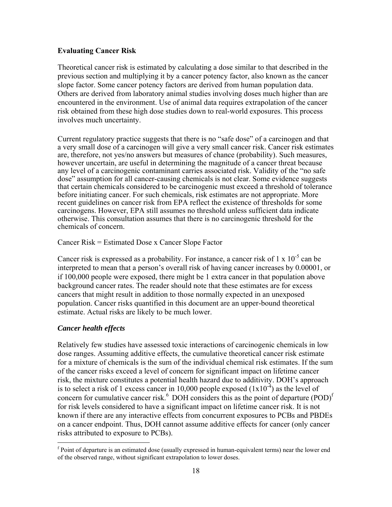#### **Evaluating Cancer Risk**

Theoretical cancer risk is estimated by calculating a dose similar to that described in the previous section and multiplying it by a cancer potency factor, also known as the cancer slope factor. Some cancer potency factors are derived from human population data. Others are derived from laboratory animal studies involving doses much higher than are encountered in the environment. Use of animal data requires extrapolation of the cancer risk obtained from these high dose studies down to real-world exposures. This process involves much uncertainty.

Current regulatory practice suggests that there is no "safe dose" of a carcinogen and that a very small dose of a carcinogen will give a very small cancer risk. Cancer risk estimates are, therefore, not yes/no answers but measures of chance (probability). Such measures, however uncertain, are useful in determining the magnitude of a cancer threat because any level of a carcinogenic contaminant carries associated risk. Validity of the "no safe dose" assumption for all cancer-causing chemicals is not clear. Some evidence suggests that certain chemicals considered to be carcinogenic must exceed a threshold of tolerance before initiating cancer. For such chemicals, risk estimates are not appropriate. More recent guidelines on cancer risk from EPA reflect the existence of thresholds for some carcinogens. However, EPA still assumes no threshold unless sufficient data indicate otherwise. This consultation assumes that there is no carcinogenic threshold for the chemicals of concern.

Cancer Risk = Estimated Dose x Cancer Slope Factor

Cancer risk is expressed as a probability. For instance, a cancer risk of  $1 \times 10^{-5}$  can be interpreted to mean that a person's overall risk of having cancer increases by 0.00001, or if 100,000 people were exposed, there might be 1 extra cancer in that population above background cancer rates. The reader should note that these estimates are for excess cancers that might result in addition to those normally expected in an unexposed population. Cancer risks quantified in this document are an upper-bound theoretical estimate. Actual risks are likely to be much lower.

#### *Cancer health effects*

 $\overline{a}$ 

Relatively few studies have assessed toxic interactions of carcinogenic chemicals in low dose ranges. Assuming additive effects, the cumulative theoretical cancer risk estimate for a mixture of chemicals is the sum of the individual chemical risk estimates. If the sum of the cancer risks exceed a level of concern for significant impact on lifetime cancer risk, the mixture constitutes a potential health hazard due to additivity. DOH's approach is to select a risk of 1 excess cancer in 10,000 people exposed  $(1x10<sup>4</sup>)$  as the level of concern for cumulative cancer risk. $6$  DOH considers this as the point of departure (POD) $<sup>f</sup>$ </sup> for risk levels considered to have a significant impact on lifetime cancer risk. It is not known if there are any interactive effects from concurrent exposures to PCBs and PBDEs on a cancer endpoint. Thus, DOH cannot assume additive effects for cancer (only cancer risks attributed to exposure to PCBs).

<sup>&</sup>lt;sup>f</sup> Point of departure is an estimated dose (usually expressed in human-equivalent terms) near the lower end of the observed range, without significant extrapolation to lower doses.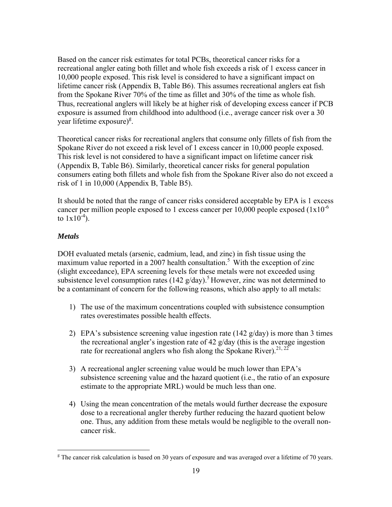Based on the cancer risk estimates for total PCBs, theoretical cancer risks for a recreational angler eating both fillet and whole fish exceeds a risk of 1 excess cancer in 10,000 people exposed. This risk level is considered to have a significant impact on lifetime cancer risk (Appendix B, Table B6). This assumes recreational anglers eat fish from the Spokane River 70% of the time as fillet and 30% of the time as whole fish. Thus, recreational anglers will likely be at higher risk of developing excess cancer if PCB exposure is assumed from childhood into adulthood (i.e., average cancer risk over a 30 year lifetime exposure)<sup>g</sup>.

Theoretical cancer risks for recreational anglers that consume only fillets of fish from the Spokane River do not exceed a risk level of 1 excess cancer in 10,000 people exposed. This risk level is not considered to have a significant impact on lifetime cancer risk (Appendix B, Table B6). Similarly, theoretical cancer risks for general population consumers eating both fillets and whole fish from the Spokane River also do not exceed a risk of 1 in 10,000 (Appendix B, Table B5).

It should be noted that the range of cancer risks considered acceptable by EPA is 1 excess cancer per million people exposed to 1 excess cancer per  $10,000$  people exposed  $(1x10^{-6})$ to  $1x10^{-4}$ ).

## *Metals*

DOH evaluated metals (arsenic, cadmium, lead, and zinc) in fish tissue using the maximum value reported in a 2007 health consultation.<sup>5</sup> With the exception of zinc (slight exceedance), EPA screening levels for these metals were not exceeded using subsistence level consumption rates  $(142 \text{ g/day})$ .<sup>5</sup> However, zinc was not determined to be a contaminant of concern for the following reasons, which also apply to all metals:

- 1) The use of the maximum concentrations coupled with subsistence consumption rates overestimates possible health effects.
- 2) EPA's subsistence screening value ingestion rate (142  $g/dav$ ) is more than 3 times the recreational angler's ingestion rate of 42 g/day (this is the average ingestion rate for recreational anglers who fish along the Spokane River).<sup>21, 22</sup>
- 3) A recreational angler screening value would be much lower than EPA's subsistence screening value and the hazard quotient (i.e., the ratio of an exposure estimate to the appropriate MRL) would be much less than one.
- 4) Using the mean concentration of the metals would further decrease the exposure dose to a recreational angler thereby further reducing the hazard quotient below one. Thus, any addition from these metals would be negligible to the overall noncancer risk.

 $\overline{a}$ <sup>g</sup> The cancer risk calculation is based on 30 years of exposure and was averaged over a lifetime of 70 years.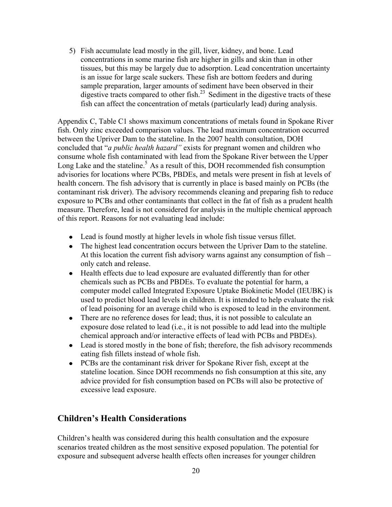5) Fish accumulate lead mostly in the gill, liver, kidney, and bone. Lead concentrations in some marine fish are higher in gills and skin than in other tissues, but this may be largely due to adsorption. Lead concentration uncertainty is an issue for large scale suckers. These fish are bottom feeders and during sample preparation, larger amounts of sediment have been observed in their digestive tracts compared to other fish. $2<sup>3</sup>$  Sediment in the digestive tracts of these fish can affect the concentration of metals (particularly lead) during analysis.

Appendix C, Table C1 shows maximum concentrations of metals found in Spokane River fish. Only zinc exceeded comparison values. The lead maximum concentration occurred between the Upriver Dam to the stateline. In the 2007 health consultation, DOH concluded that "*a public health hazard"* exists for pregnant women and children who consume whole fish contaminated with lead from the Spokane River between the Upper Long Lake and the stateline.<sup>5</sup> As a result of this, DOH recommended fish consumption advisories for locations where PCBs, PBDEs, and metals were present in fish at levels of health concern. The fish advisory that is currently in place is based mainly on PCBs (the contaminant risk driver). The advisory recommends cleaning and preparing fish to reduce exposure to PCBs and other contaminants that collect in the fat of fish as a prudent health measure. Therefore, lead is not considered for analysis in the multiple chemical approach of this report. Reasons for not evaluating lead include:

- Lead is found mostly at higher levels in whole fish tissue versus fillet.
- The highest lead concentration occurs between the Upriver Dam to the stateline. At this location the current fish advisory warns against any consumption of fish – only catch and release.
- Health effects due to lead exposure are evaluated differently than for other chemicals such as PCBs and PBDEs. To evaluate the potential for harm, a computer model called Integrated Exposure Uptake Biokinetic Model (IEUBK) is used to predict blood lead levels in children. It is intended to help evaluate the risk of lead poisoning for an average child who is exposed to lead in the environment.
- There are no reference doses for lead; thus, it is not possible to calculate an exposure dose related to lead (i.e., it is not possible to add lead into the multiple chemical approach and/or interactive effects of lead with PCBs and PBDEs).
- Lead is stored mostly in the bone of fish; therefore, the fish advisory recommends eating fish fillets instead of whole fish.
- PCBs are the contaminant risk driver for Spokane River fish, except at the stateline location. Since DOH recommends no fish consumption at this site, any advice provided for fish consumption based on PCBs will also be protective of excessive lead exposure.

## **Children's Health Considerations**

Children's health was considered during this health consultation and the exposure scenarios treated children as the most sensitive exposed population. The potential for exposure and subsequent adverse health effects often increases for younger children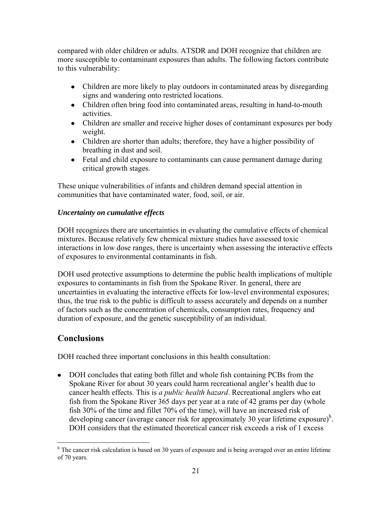compared with older children or adults. ATSDR and DOH recognize that children are more susceptible to contaminant exposures than adults. The following factors contribute to this vulnerability:

- Children are more likely to play outdoors in contaminated areas by disregarding signs and wandering onto restricted locations.
- Children often bring food into contaminated areas, resulting in hand-to-mouth activities.
- Children are smaller and receive higher doses of contaminant exposures per body weight.
- Children are shorter than adults; therefore, they have a higher possibility of breathing in dust and soil.
- Fetal and child exposure to contaminants can cause permanent damage during critical growth stages.

These unique vulnerabilities of infants and children demand special attention in communities that have contaminated water, food, soil, or air.

## *Uncertainty on cumulative effects*

DOH recognizes there are uncertainties in evaluating the cumulative effects of chemical mixtures. Because relatively few chemical mixture studies have assessed toxic interactions in low dose ranges, there is uncertainty when assessing the interactive effects of exposures to environmental contaminants in fish.

DOH used protective assumptions to determine the public health implications of multiple exposures to contaminants in fish from the Spokane River. In general, there are uncertainties in evaluating the interactive effects for low-level environmental exposures; thus, the true risk to the public is difficult to assess accurately and depends on a number of factors such as the concentration of chemicals, consumption rates, frequency and duration of exposure, and the genetic susceptibility of an individual.

## **Conclusions**

DOH reached three important conclusions in this health consultation:

DOH concludes that eating both fillet and whole fish containing PCBs from the Spokane River for about 30 years could harm recreational angler's health due to cancer health effects. This is *a public health hazard*. Recreational anglers who eat fish from the Spokane River 365 days per year at a rate of 42 grams per day (whole fish 30% of the time and fillet 70% of the time), will have an increased risk of developing cancer (average cancer risk for approximately 30 year lifetime exposure)<sup>h</sup>. DOH considers that the estimated theoretical cancer risk exceeds a risk of 1 excess

 $\overline{a}$ <sup>h</sup> The cancer risk calculation is based on 30 years of exposure and is being averaged over an entire lifetime of 70 years.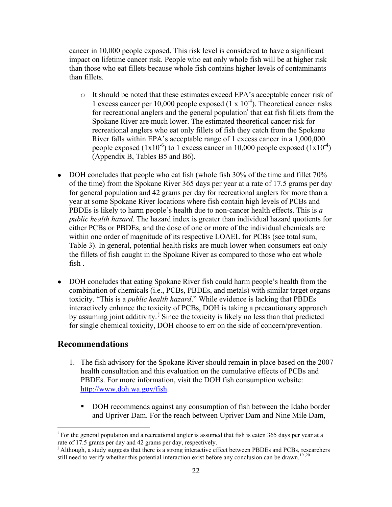cancer in 10,000 people exposed. This risk level is considered to have a significant impact on lifetime cancer risk. People who eat only whole fish will be at higher risk than those who eat fillets because whole fish contains higher levels of contaminants than fillets.

- o It should be noted that these estimates exceed EPA's acceptable cancer risk of 1 excess cancer per 10,000 people exposed  $(1 \times 10^{-4})$ . Theoretical cancer risks for recreational anglers and the general population<sup>1</sup> that eat fish fillets from the Spokane River are much lower. The estimated theoretical cancer risk for recreational anglers who eat only fillets of fish they catch from the Spokane River falls within EPA's acceptable range of 1 excess cancer in a 1,000,000 people exposed  $(1x10^{-6})$  to 1 excess cancer in 10,000 people exposed  $(1x10^{-4})$ (Appendix B, Tables B5 and B6).
- DOH concludes that people who eat fish (whole fish 30% of the time and fillet 70% of the time) from the Spokane River 365 days per year at a rate of 17.5 grams per day for general population and 42 grams per day for recreational anglers for more than a year at some Spokane River locations where fish contain high levels of PCBs and PBDEs is likely to harm people's health due to non-cancer health effects. This is *a public health hazard*. The hazard index is greater than individual hazard quotients for either PCBs or PBDEs, and the dose of one or more of the individual chemicals are within one order of magnitude of its respective LOAEL for PCBs (see total sum, Table 3). In general, potential health risks are much lower when consumers eat only the fillets of fish caught in the Spokane River as compared to those who eat whole fish .
- DOH concludes that eating Spokane River fish could harm people's health from the combination of chemicals (i.e., PCBs, PBDEs, and metals) with similar target organs toxicity. "This is a *public health hazard*." While evidence is lacking that PBDEs interactively enhance the toxicity of PCBs, DOH is taking a precautionary approach by assuming joint additivity.<sup> $\frac{1}{2}$ </sup> Since the toxicity is likely no less than that predicted for single chemical toxicity, DOH choose to err on the side of concern/prevention.

## **Recommendations**

- 1. The fish advisory for the Spokane River should remain in place based on the 2007 health consultation and this evaluation on the cumulative effects of PCBs and PBDEs. For more information, visit the DOH fish consumption website: [http://www.doh.wa.gov/](http://www.doh.wa.gov/fish)fish.
	- DOH recommends against any consumption of fish between the Idaho border and Upriver Dam. For the reach between Upriver Dam and Nine Mile Dam,

 $\overline{a}$ <sup>i</sup> For the general population and a recreational angler is assumed that fish is eaten 365 days per year at a rate of 17.5 grams per day and 42 grams per day, respectively.

<sup>&</sup>lt;sup>j</sup> Although, a study suggests that there is a strong interactive effect between PBDEs and PCBs, researchers still need to verify whether this potential interaction exist before any conclusion can be drawn.<sup>19,20</sup>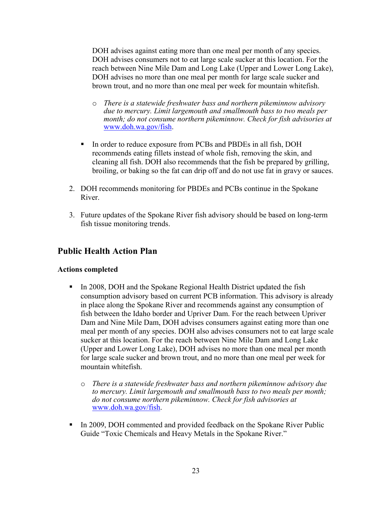DOH advises against eating more than one meal per month of any species. DOH advises consumers not to eat large scale sucker at this location. For the reach between Nine Mile Dam and Long Lake (Upper and Lower Long Lake), DOH advises no more than one meal per month for large scale sucker and brown trout, and no more than one meal per week for mountain whitefish.

- o *There is a statewide freshwater bass and northern pikeminnow advisory due to mercury. Limit largemouth and smallmouth bass to two meals per month; do not consume northern pikeminnow. Check for fish advisories at* [www.doh.wa.gov/fish.](http://www.doh.wa.gov/fish)
- In order to reduce exposure from PCBs and PBDEs in all fish, DOH recommends eating fillets instead of whole fish, removing the skin, and cleaning all fish. DOH also recommends that the fish be prepared by grilling, broiling, or baking so the fat can drip off and do not use fat in gravy or sauces.
- 2. DOH recommends monitoring for PBDEs and PCBs continue in the Spokane River.
- 3. Future updates of the Spokane River fish advisory should be based on long-term fish tissue monitoring trends.

## **Public Health Action Plan**

#### **Actions completed**

- In 2008, DOH and the Spokane Regional Health District updated the fish consumption advisory based on current PCB information. This advisory is already in place along the Spokane River and recommends against any consumption of fish between the Idaho border and Upriver Dam. For the reach between Upriver Dam and Nine Mile Dam, DOH advises consumers against eating more than one meal per month of any species. DOH also advises consumers not to eat large scale sucker at this location. For the reach between Nine Mile Dam and Long Lake (Upper and Lower Long Lake), DOH advises no more than one meal per month for large scale sucker and brown trout, and no more than one meal per week for mountain whitefish.
	- o *There is a statewide freshwater bass and northern pikeminnow advisory due to mercury. Limit largemouth and smallmouth bass to two meals per month; do not consume northern pikeminnow. Check for fish advisories at* [www.doh.wa.gov/fish.](http://www.doh.wa.gov/fish)
- In 2009, DOH commented and provided feedback on the Spokane River Public Guide "Toxic Chemicals and Heavy Metals in the Spokane River."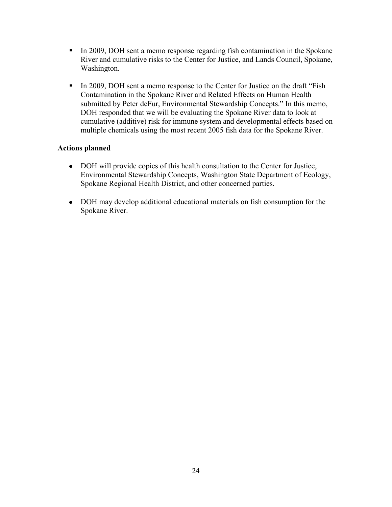- In 2009, DOH sent a memo response regarding fish contamination in the Spokane River and cumulative risks to the Center for Justice, and Lands Council, Spokane, Washington.
- In 2009, DOH sent a memo response to the Center for Justice on the draft "Fish" Contamination in the Spokane River and Related Effects on Human Health submitted by Peter deFur, Environmental Stewardship Concepts." In this memo, DOH responded that we will be evaluating the Spokane River data to look at cumulative (additive) risk for immune system and developmental effects based on multiple chemicals using the most recent 2005 fish data for the Spokane River.

## **Actions planned**

- DOH will provide copies of this health consultation to the Center for Justice, Environmental Stewardship Concepts, Washington State Department of Ecology, Spokane Regional Health District, and other concerned parties.
- DOH may develop additional educational materials on fish consumption for the Spokane River.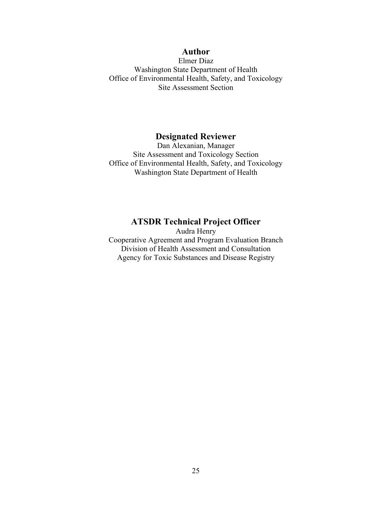## **Author**

Elmer Diaz Washington State Department of Health Office of Environmental Health, Safety, and Toxicology Site Assessment Section

## **Designated Reviewer**

Dan Alexanian, Manager Site Assessment and Toxicology Section Office of Environmental Health, Safety, and Toxicology Washington State Department of Health

#### **ATSDR Technical Project Officer**

Audra Henry Cooperative Agreement and Program Evaluation Branch Division of Health Assessment and Consultation Agency for Toxic Substances and Disease Registry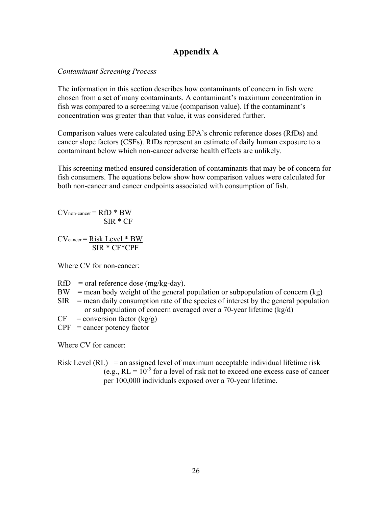## **Appendix A**

#### *Contaminant Screening Process*

The information in this section describes how contaminants of concern in fish were chosen from a set of many contaminants. A contaminant's maximum concentration in fish was compared to a screening value (comparison value). If the contaminant's concentration was greater than that value, it was considered further.

Comparison values were calculated using EPA's chronic reference doses (RfDs) and cancer slope factors (CSFs). RfDs represent an estimate of daily human exposure to a contaminant below which non-cancer adverse health effects are unlikely.

This screening method ensured consideration of contaminants that may be of concern for fish consumers. The equations below show how comparison values were calculated for both non-cancer and cancer endpoints associated with consumption of fish.

 $CV$ <sub>non-cancer</sub> =  $RfD * BW$ SIR \* CF

 $CV<sub>cancer</sub> = Risk Level * BW$ SIR \* CF\*CPF

Where CV for non-cancer:

- $RfD$  = oral reference dose (mg/kg-day).
- $BW =$  mean body weight of the general population or subpopulation of concern (kg)
- $SIR$  = mean daily consumption rate of the species of interest by the general population or subpopulation of concern averaged over a 70-year lifetime (kg/d)
- $CF = conversion factor (kg/g)$
- $CPF = \text{cancer potency factor}$

Where CV for cancer:

Risk Level  $(RL)$  = an assigned level of maximum acceptable individual lifetime risk (e.g.,  $RL = 10^{-5}$  for a level of risk not to exceed one excess case of cancer per 100,000 individuals exposed over a 70-year lifetime.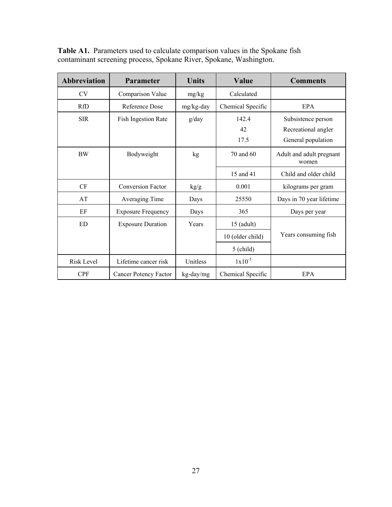| <b>Abbreviation</b> | <b>Parameter</b>             | <b>Units</b> | Value             | <b>Comments</b>                   |
|---------------------|------------------------------|--------------|-------------------|-----------------------------------|
| <b>CV</b>           | Comparison Value             | mg/kg        | Calculated        |                                   |
| <b>RfD</b>          | Reference Dose               | mg/kg-day    | Chemical Specific | EPA                               |
| <b>SIR</b>          | <b>Fish Ingestion Rate</b>   | g/day        | 142.4             | Subsistence person                |
|                     |                              |              | 42                | Recreational angler               |
|                     |                              |              | 17.5              | General population                |
| BW                  | Bodyweight                   | kg           | 70 and 60         | Adult and adult pregnant<br>women |
|                     |                              |              | 15 and 41         | Child and older child             |
| CF                  | <b>Conversion Factor</b>     | kg/g         | 0.001             | kilograms per gram                |
| AT                  | Averaging Time               | Days         | 25550             | Days in 70 year lifetime          |
| EF                  | <b>Exposure Frequency</b>    | Days         | 365               | Days per year                     |
| <b>ED</b>           | <b>Exposure Duration</b>     | Years        | $15$ (adult)      |                                   |
|                     |                              |              | 10 (older child)  | Years consuming fish              |
|                     |                              |              | $5$ (child)       |                                   |
| <b>Risk Level</b>   | Lifetime cancer risk         | Unitless     | $1x10^{-5}$       |                                   |
| <b>CPF</b>          | <b>Cancer Potency Factor</b> | kg-day/mg    | Chemical Specific | EPA                               |

**Table A1.** Parameters used to calculate comparison values in the Spokane fish contaminant screening process, Spokane River, Spokane, Washington.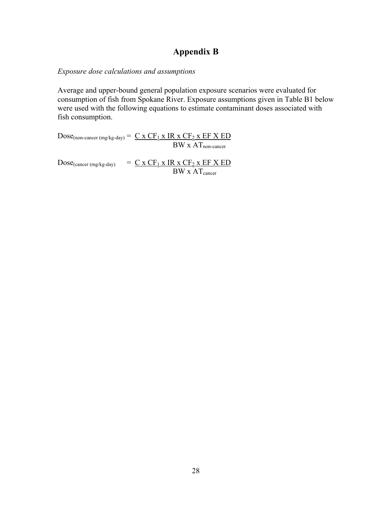## **Appendix B**

#### *Exposure dose calculations and assumptions*

Average and upper-bound general population exposure scenarios were evaluated for consumption of fish from Spokane River. Exposure assumptions given in Table B1 below were used with the following equations to estimate contaminant doses associated with fish consumption.

 $Dose_{(non-cancer (mg/kg-day))} = C \times CF_1 \times IR \times CF_2 \times EF \times ED$  $BW \times AT_{non-cancer}$ 

 $Dose_{(cancer (mg/kg-day))}$  =  $C x CF_1 x IR x CF_2 x EF X ED$  $BW \times AT_{cancer}$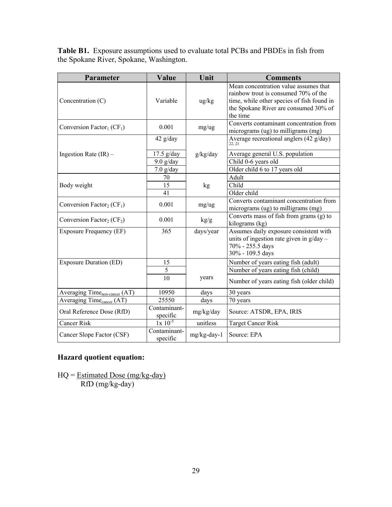**Table B1.** Exposure assumptions used to evaluate total PCBs and PBDEs in fish from the Spokane River, Spokane, Washington.

| Parameter                                         | Value                    | Unit              | <b>Comments</b>                                                                                                                                                                  |
|---------------------------------------------------|--------------------------|-------------------|----------------------------------------------------------------------------------------------------------------------------------------------------------------------------------|
| Concentration (C)                                 | Variable                 | $\frac{u g}{k g}$ | Mean concentration value assumes that<br>rainbow trout is consumed 70% of the<br>time, while other species of fish found in<br>the Spokane River are consumed 30% of<br>the time |
| Conversion Factor <sub>1</sub> (CF <sub>1</sub> ) | 0.001                    | mg/ug             | Converts contaminant concentration from<br>micrograms (ug) to milligrams (mg)                                                                                                    |
|                                                   | $42$ g/day               |                   | Average recreational anglers (42 g/day)<br>22, 21                                                                                                                                |
| Ingestion Rate $(IR)$ –                           | $17.5$ g/day             | g/kg/day          | Average general U.S. population                                                                                                                                                  |
|                                                   | $9.0$ g/day              |                   | Child 0-6 years old                                                                                                                                                              |
|                                                   | $7.0$ g/day              |                   | Older child 6 to 17 years old                                                                                                                                                    |
|                                                   | 70                       |                   | Adult                                                                                                                                                                            |
| Body weight                                       | 15                       | kg                | Child                                                                                                                                                                            |
|                                                   | 41                       |                   | Older child                                                                                                                                                                      |
| Conversion Factor <sub>2</sub> (CF <sub>1</sub> ) | 0.001                    | mg/ug             | Converts contaminant concentration from<br>micrograms (ug) to milligrams (mg)                                                                                                    |
| Conversion Factor <sub>2</sub> ( $CF2$ )          | 0.001                    | kg/g              | Converts mass of fish from grams (g) to<br>kilograms (kg)                                                                                                                        |
| Exposure Frequency (EF)                           | 365                      | days/year         | Assumes daily exposure consistent with<br>units of ingestion rate given in g/day -<br>70% - 255.5 days<br>30% - 109.5 days                                                       |
| <b>Exposure Duration (ED)</b>                     | 15                       |                   | Number of years eating fish (adult)                                                                                                                                              |
|                                                   | 5                        |                   | Number of years eating fish (child)                                                                                                                                              |
|                                                   | 10                       | years             | Number of years eating fish (older child)                                                                                                                                        |
| Averaging Time <sub>non-cancer</sub> (AT)         | 10950                    | days              | 30 years                                                                                                                                                                         |
| Averaging Time <sub>cancer</sub> (AT)             | 25550                    | days              | 70 years                                                                                                                                                                         |
| Oral Reference Dose (RfD)                         | Contaminant-<br>specific | mg/kg/day         | Source: ATSDR, EPA, IRIS                                                                                                                                                         |
| Cancer Risk                                       | $1x\ 10^{-5}$            | unitless          | <b>Target Cancer Risk</b>                                                                                                                                                        |
| Cancer Slope Factor (CSF)                         | Contaminant-<br>specific | mg/kg-day-1       | Source: EPA                                                                                                                                                                      |

## **Hazard quotient equation:**

 $HQ = Estimated Does (mg/kg-day)$ RfD (mg/kg-day)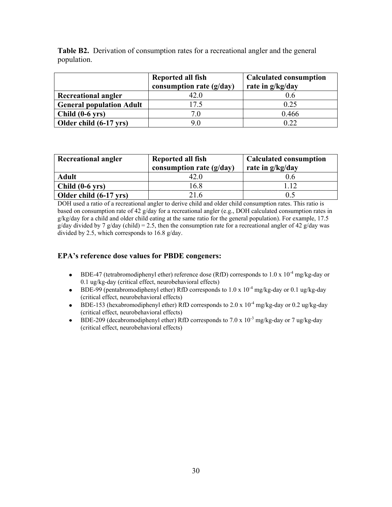|             | <b>Table B2.</b> Derivation of consumption rates for a recreational angler and the general |
|-------------|--------------------------------------------------------------------------------------------|
| population. |                                                                                            |

|                                 | Reported all fish<br>consumption rate $(g/day)$ | <b>Calculated consumption</b><br>rate in g/kg/day |
|---------------------------------|-------------------------------------------------|---------------------------------------------------|
| <b>Recreational angler</b>      | 42 O                                            | 0.6                                               |
| <b>General population Adult</b> | 17.5                                            | 0.25                                              |
| $Child(0-6 \text{ vrs})$        | 70                                              | 0.466                                             |
| Older child (6-17 yrs)          | 90                                              | 0.22                                              |

| <b>Recreational angler</b> | Reported all fish<br>consumption rate $(g/day)$ | <b>Calculated consumption</b><br>rate in g/kg/day |  |
|----------------------------|-------------------------------------------------|---------------------------------------------------|--|
| <b>Adult</b>               | 42 0                                            |                                                   |  |
| $Child(0-6 \text{ yrs})$   | 16.8                                            | 112                                               |  |
| Older child (6-17 yrs)     | 216                                             | 0.5                                               |  |

DOH used a ratio of a recreational angler to derive child and older child consumption rates. This ratio is based on consumption rate of 42 g/day for a recreational angler (e.g., DOH calculated consumption rates in g/kg/day for a child and older child eating at the same ratio for the general population). For example, 17.5 g/day divided by 7 g/day (child) = 2.5, then the consumption rate for a recreational angler of 42 g/day was divided by 2.5, which corresponds to 16.8 g/day.

#### **EPA's reference dose values for PBDE congeners:**

- BDE-47 (tetrabromodiphenyl ether) reference dose (RfD) corresponds to  $1.0 \times 10^{-4}$  mg/kg-day or 0.1 ug/kg-day (critical effect, neurobehavioral effects)
- BDE-99 (pentabromodiphenyl ether) RfD corresponds to  $1.0 \times 10^{-4}$  mg/kg-day or 0.1 ug/kg-day (critical effect, neurobehavioral effects)
- BDE-153 (hexabromodiphenyl ether) RfD corresponds to  $2.0 \times 10^{-4}$  mg/kg-day or 0.2 ug/kg-day (critical effect, neurobehavioral effects)
- BDE-209 (decabromodiphenyl ether) RfD corresponds to 7.0 x  $10^{-3}$  mg/kg-day or 7 ug/kg-day  $\bullet$ (critical effect, neurobehavioral effects)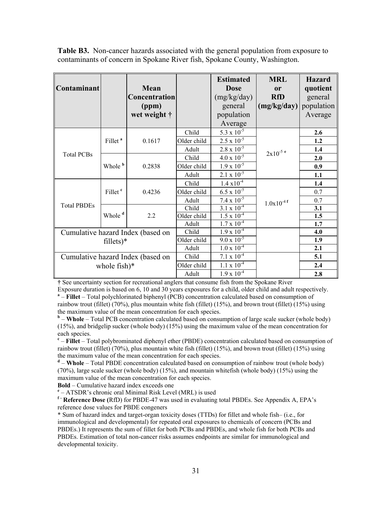**Table B3.** Non-cancer hazards associated with the general population from exposure to contaminants of concern in Spokane River fish, Spokane County, Washington.

| Contaminant        |                     | Mean<br>Concentration<br>(ppm)<br>wet weight $\dagger$ |                      | <b>Estimated</b><br><b>Dose</b><br>(mg/kg/day)<br>general<br>population<br>Average | <b>MRL</b><br><b>or</b><br><b>RfD</b><br>$\left(\frac{mg}{kg}\right)$ | <b>Hazard</b><br>quotient<br>general<br>population<br>Average |
|--------------------|---------------------|--------------------------------------------------------|----------------------|------------------------------------------------------------------------------------|-----------------------------------------------------------------------|---------------------------------------------------------------|
|                    |                     |                                                        | Child                | $5.3 \ge 10^{-5}$                                                                  |                                                                       | 2.6                                                           |
|                    | Fillet <sup>a</sup> | 0.1617                                                 | Older child<br>Adult | $2.5 \times 10^{-5}$<br>$2.8 \times 10^{-5}$                                       |                                                                       | 1.2<br>1.4                                                    |
| <b>Total PCBs</b>  |                     |                                                        | Child                | $4.0 \times 10^{-5}$                                                               | $2x10^{-5}$ <sup>e</sup>                                              | 2.0                                                           |
|                    | Whole <b>b</b>      | 0.2838                                                 | Older child          | $1.9 \times 10^{-5}$                                                               |                                                                       | 0.9                                                           |
|                    |                     |                                                        | Adult                | $2.1 \times 10^{-5}$                                                               |                                                                       | 1.1                                                           |
|                    |                     |                                                        | Child                | $1.4 \times 10^{-4}$                                                               |                                                                       | 1.4                                                           |
|                    | Fillet <sup>c</sup> | 0.4236                                                 | Older child          | $6.5 \times 10^{-5}$                                                               |                                                                       | 0.7                                                           |
|                    |                     |                                                        | Adult                | $7.4 \times 10^{-5}$                                                               | $1.0x10^{-4}$ f                                                       | 0.7                                                           |
| <b>Total PBDEs</b> |                     |                                                        | Child                | 3.1 x $10^{-4}$                                                                    |                                                                       | 3.1                                                           |
|                    | Whole <sup>d</sup>  | 2.2                                                    | Older child          | $1.5 \times 10^{-4}$                                                               |                                                                       | 1.5                                                           |
|                    |                     |                                                        | Adult                | $1.7 \times 10^{-4}$                                                               |                                                                       | 1.7                                                           |
|                    |                     | Cumulative hazard Index (based on                      | Child                | $1.9 \times 10^{-4}$                                                               |                                                                       | 4.0                                                           |
| $fillets)*$        |                     | Older child                                            | $9.0 \times 10^{-5}$ |                                                                                    | 1.9                                                                   |                                                               |
|                    |                     | Adult                                                  | $1.0 \times 10^{-4}$ |                                                                                    | 2.1                                                                   |                                                               |
|                    |                     | Cumulative hazard Index (based on                      | Child                | $7.1 \times 10^{-4}$                                                               |                                                                       | 5.1                                                           |
|                    | whole $fish)*$      |                                                        | Older child          | $1.1 \times 10^{-4}$                                                               |                                                                       | 2.4                                                           |
|                    |                     |                                                        | Adult                | $1.9 \times 10^{-4}$                                                               |                                                                       | 2.8                                                           |

**†** See uncertainty section for recreational anglers that consume fish from the Spokane River

Exposure duration is based on 6, 10 and 30 years exposures for a child, older child and adult respectively. <sup>a</sup> – **Fillet** – Total polychlorinated biphenyl (PCB) concentration calculated based on consumption of rainbow trout (fillet) (70%), plus mountain white fish (fillet) (15%), and brown trout (fillet) (15%) using the maximum value of the mean concentration for each species.

<sup>b</sup> – **Whole** – Total PCB concentration calculated based on consumption of large scale sucker (whole body) (15%), and bridgelip sucker (whole body) (15%) using the maximum value of the mean concentration for each species.

**c** – **Fillet** – Total polybrominated diphenyl ether (PBDE) concentration calculated based on consumption of rainbow trout (fillet) (70%), plus mountain white fish (fillet) (15%), and brown trout (fillet) (15%) using the maximum value of the mean concentration for each species.

**d** – **Whole** – Total PBDE concentration calculated based on consumption of rainbow trout (whole body) (70%), large scale sucker (whole body) (15%), and mountain whitefish (whole body) (15%) using the maximum value of the mean concentration for each species.

**Bold** – Cumulative hazard index exceeds one

**e** – ATSDR's chronic oral Minimal Risk Level (MRL) is used

**f – Reference Dose (**RfD) for PBDE-47 was used in evaluating total PBDEs. See Appendix A, EPA's reference dose values for PBDE congeners

\* Sum of hazard index and target-organ toxicity doses (TTDs) for fillet and whole fish– (i.e., for immunological and developmental) for repeated oral exposures to chemicals of concern (PCBs and PBDEs.) It represents the sum of fillet for both PCBs and PBDEs, and whole fish for both PCBs and PBDEs. Estimation of total non-cancer risks assumes endpoints are similar for immunological and developmental toxicity.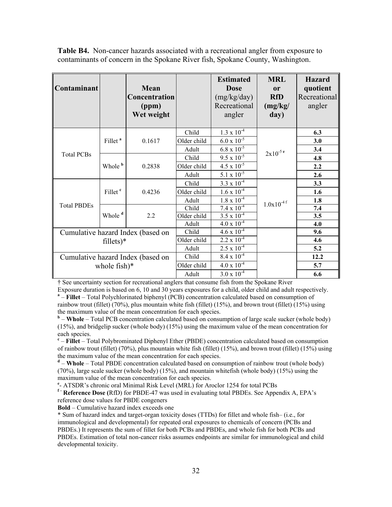**Table B4.** Non-cancer hazards associated with a recreational angler from exposure to contaminants of concern in the Spokane River fish, Spokane County, Washington.

| Contaminant                       |                     | Mean<br>Concentration<br>(ppm)<br>Wet weight |             | <b>Estimated</b><br><b>Dose</b><br>(mg/kg/day)<br>Recreational<br>angler | <b>MRL</b><br><b>or</b><br><b>RfD</b><br>(mg/kg)<br>day) | <b>Hazard</b><br>quotient<br>Recreational<br>angler |
|-----------------------------------|---------------------|----------------------------------------------|-------------|--------------------------------------------------------------------------|----------------------------------------------------------|-----------------------------------------------------|
|                                   |                     |                                              | Child       | $1.3 \times 10^{-4}$                                                     |                                                          | 6.3                                                 |
|                                   | Fillet <sup>a</sup> | 0.1617                                       | Older child | $6.0 \times 10^{-5}$                                                     | $2x10^{-5}$ e                                            | 3.0                                                 |
| <b>Total PCBs</b>                 |                     |                                              | Adult       | $6.8 \times 10^{-5}$                                                     |                                                          | 3.4                                                 |
|                                   | Whole <b>b</b>      | 0.2838                                       | Child       | $\frac{9.5 \times 10^{-5}}{2}$                                           |                                                          | 4.8                                                 |
|                                   |                     |                                              | Older child | $4.5 \times 10^{-3}$                                                     |                                                          | 2.2                                                 |
|                                   |                     |                                              | Adult       | $5.1 \ge 10^{-5}$                                                        |                                                          | 2.6                                                 |
| <b>Total PBDEs</b>                | Fillet <sup>c</sup> | 0.4236                                       | Child       | $3.3 \times 10^{-4}$                                                     | $1.0 \mathrm{x} 10^{\text{-}4 \, \mathrm{f}}$            | 3.3                                                 |
|                                   |                     |                                              | Older child | $1.6 \times 10^{-4}$                                                     |                                                          | 1.6                                                 |
|                                   |                     |                                              | Adult       | $1.8 \times 10^{-4}$                                                     |                                                          | 1.8                                                 |
|                                   | Whole <sup>d</sup>  | 2.2                                          | Child       | $7.4 \times 10^{-4}$                                                     |                                                          | 7.4                                                 |
|                                   |                     |                                              | Older child | $3.5 \times 10^{-4}$                                                     |                                                          | 3.5                                                 |
|                                   |                     |                                              | Adult       | $4.0 \times 10^{-4}$                                                     |                                                          | 4.0                                                 |
| Cumulative hazard Index (based on |                     |                                              | Child       | $4.6 \times 10^{-4}$                                                     |                                                          | 9.6                                                 |
| $\text{filters}$ <sup>*</sup>     |                     |                                              | Older child | $2.2 \times 10^{-4}$                                                     |                                                          | 4.6                                                 |
|                                   |                     |                                              | Adult       | $2.5 \times 10^{-4}$                                                     |                                                          | 5.2                                                 |
| Cumulative hazard Index (based on |                     |                                              | Child       | $8.4 \times 10^{-4}$                                                     |                                                          | 12.2                                                |
| whole fish $)*$                   |                     |                                              | Older child | $4.0 \times 10^{-4}$                                                     |                                                          | 5.7                                                 |
|                                   |                     |                                              | Adult       | $3.0 \times 10^{-4}$                                                     |                                                          | 6.6                                                 |

† See uncertainty section for recreational anglers that consume fish from the Spokane River

Exposure duration is based on 6, 10 and 30 years exposures for a child, older child and adult respectively. <sup>a</sup> – **Fillet** – Total Polychlorinated biphenyl (PCB) concentration calculated based on consumption of rainbow trout (fillet) (70%), plus mountain white fish (fillet) (15%), and brown trout (fillet) (15%) using the maximum value of the mean concentration for each species.

<sup>b</sup> – **Whole** – Total PCB concentration calculated based on consumption of large scale sucker (whole body) (15%), and bridgelip sucker (whole body) (15%) using the maximum value of the mean concentration for each species.

**c** – **Fillet** – Total Polybrominated Diphenyl Ether (PBDE) concentration calculated based on consumption of rainbow trout (fillet) (70%), plus mountain white fish (fillet) (15%), and brown trout (fillet) (15%) using the maximum value of the mean concentration for each species.

**d** – **Whole** – Total PBDE concentration calculated based on consumption of rainbow trout (whole body) (70%), large scale sucker (whole body) (15%), and mountain whitefish (whole body) (15%) using the maximum value of the mean concentration for each species.

**e** - ATSDR's chronic oral Minimal Risk Level (MRL) for Aroclor 1254 for total PCBs

**f – Reference Dose (**RfD) for PBDE-47 was used in evaluating total PBDEs. See Appendix A, EPA's reference dose values for PBDE congeners

**Bold** – Cumulative hazard index exceeds one

\* Sum of hazard index and target-organ toxicity doses (TTDs) for fillet and whole fish– (i.e., for immunological and developmental) for repeated oral exposures to chemicals of concern (PCBs and PBDEs.) It represents the sum of fillet for both PCBs and PBDEs, and whole fish for both PCBs and PBDEs. Estimation of total non-cancer risks assumes endpoints are similar for immunological and child developmental toxicity.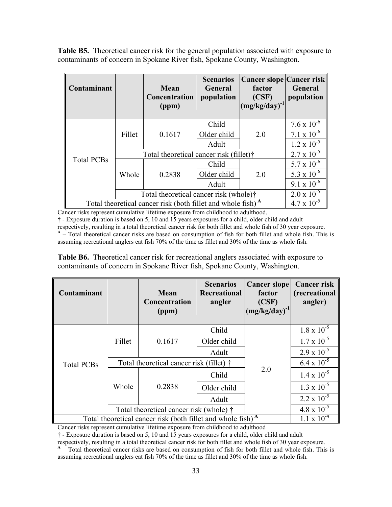**Table B5.** Theoretical cancer risk for the general population associated with exposure to contaminants of concern in Spokane River fish, Spokane County, Washington.

| Contaminant                                                             |                                         | Mean<br>Concentration<br>(ppm) | <b>Scenarios</b><br><b>General</b><br>population | <b>Cancer slope Cancer risk</b><br>factor<br>(CSF)<br>$(mg/kg/day)^{-1}$ | General<br>population |
|-------------------------------------------------------------------------|-----------------------------------------|--------------------------------|--------------------------------------------------|--------------------------------------------------------------------------|-----------------------|
|                                                                         | Fillet                                  | 0.1617                         | Child                                            | 2.0                                                                      | $7.6 \times 10^{-6}$  |
|                                                                         |                                         |                                | Older child                                      |                                                                          | $7.1 \times 10^{-6}$  |
|                                                                         |                                         |                                | Adult                                            |                                                                          | $1.2 \times 10^{-5}$  |
|                                                                         | Total theoretical cancer risk (fillet)† | $2.7 \times 10^{-5}$           |                                                  |                                                                          |                       |
| <b>Total PCBs</b>                                                       | Whole                                   | 0.2838                         | Child                                            | 2.0                                                                      | $5.7 \times 10^{-6}$  |
|                                                                         |                                         |                                | Older child                                      |                                                                          | 5.3 x $10^{-6}$       |
|                                                                         |                                         |                                | Adult                                            |                                                                          | $9.1 \times 10^{-6}$  |
|                                                                         | Total theoretical cancer risk (whole)†  | $2.0 \times 10^{-5}$           |                                                  |                                                                          |                       |
| Total theoretical cancer risk (both fillet and whole fish) <sup>A</sup> | $4.7 \times 10^{-5}$                    |                                |                                                  |                                                                          |                       |

Cancer risks represent cumulative lifetime exposure from childhood to adulthood.

† - Exposure duration is based on 5, 10 and 15 years exposures for a child, older child and adult respectively, resulting in a total theoretical cancer risk for both fillet and whole fish of 30 year exposure. **A** – Total theoretical cancer risks are based on consumption of fish for both fillet and whole fish. This is assuming recreational anglers eat fish 70% of the time as fillet and 30% of the time as whole fish.

**Table B6.** Theoretical cancer risk for recreational anglers associated with exposure to contaminants of concern in Spokane River fish, Spokane County, Washington.

| Contaminant                                                             |                                          | Mean<br><b>Concentration</b><br>(ppm)   | <b>Scenarios</b><br><b>Recreational</b><br>angler | <b>Cancer slope</b><br>factor<br>(CSF)<br>$(mg/kg/day)^{-1}$ | <b>Cancer risk</b><br>(recreational<br>angler) |
|-------------------------------------------------------------------------|------------------------------------------|-----------------------------------------|---------------------------------------------------|--------------------------------------------------------------|------------------------------------------------|
|                                                                         | Fillet                                   | 0.1617                                  | Child                                             |                                                              | $1.8 \times 10^{-5}$                           |
| <b>Total PCBs</b>                                                       |                                          |                                         | Older child                                       |                                                              | $1.7 \times 10^{-5}$                           |
|                                                                         |                                          |                                         | Adult                                             |                                                              | $2.9 \times 10^{-5}$                           |
|                                                                         | Total theoretical cancer risk (fillet) † |                                         |                                                   |                                                              | $6.4 \times 10^{-5}$                           |
|                                                                         | Whole                                    | 0.2838                                  | Child                                             | 2.0                                                          | $1.4 \times 10^{-5}$                           |
|                                                                         |                                          |                                         | Older child                                       |                                                              | $1.3 \times 10^{-5}$                           |
|                                                                         |                                          |                                         | Adult                                             |                                                              | $2.2 \times 10^{-5}$                           |
|                                                                         |                                          | Total theoretical cancer risk (whole) † |                                                   | $4.8 \times 10^{-5}$                                         |                                                |
| Total theoretical cancer risk (both fillet and whole fish) <sup>A</sup> | $1.1 \times 10^{-4}$                     |                                         |                                                   |                                                              |                                                |

Cancer risks represent cumulative lifetime exposure from childhood to adulthood

† - Exposure duration is based on 5, 10 and 15 years exposures for a child, older child and adult

respectively, resulting in a total theoretical cancer risk for both fillet and whole fish of 30 year exposure.

**A** – Total theoretical cancer risks are based on consumption of fish for both fillet and whole fish. This is assuming recreational anglers eat fish 70% of the time as fillet and 30% of the time as whole fish.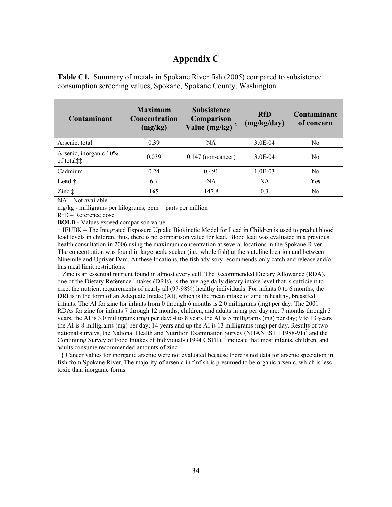## **Appendix C**

**Table C1.** Summary of metals in Spokane River fish (2005) compared to subsistence consumption screening values, Spokane, Spokane County, Washington.

| Contaminant                                     | <b>Maximum</b><br><b>Concentration</b><br>(mg/kg) | <b>Subsistence</b><br>Comparison<br>Value (mg/kg) $^2$ | <b>RfD</b><br>(mg/kg/day) | Contaminant<br>of concern |
|-------------------------------------------------|---------------------------------------------------|--------------------------------------------------------|---------------------------|---------------------------|
| Arsenic, total                                  | 0.39                                              | <b>NA</b>                                              | $3.0E-04$                 | N <sub>0</sub>            |
| Arsenic, inorganic 10%<br>of total <sup>†</sup> | 0.039                                             | $0.147$ (non-cancer)                                   | 3.0E-04                   | N <sub>0</sub>            |
| Cadmium                                         | 0.24                                              | 0.491                                                  | $1.0E-03$                 | N <sub>0</sub>            |
| Lead †                                          | 6.7                                               | <b>NA</b>                                              | <b>NA</b>                 | <b>Yes</b>                |
| Zinc $\ddagger$                                 | 165                                               | 147.8                                                  | 0.3                       | No                        |

NA – Not available

mg/kg - milligrams per kilograms; ppm = parts per million

RfD – Reference dose

**BOLD** - Values exceed comparison value

† IEUBK – The Integrated Exposure Uptake Biokinetic Model for Lead in Children is used to predict blood lead levels in children, thus, there is no comparison value for lead. Blood lead was evaluated in a previous health consultation in 2006 using the maximum concentration at several locations in the Spokane River. The concentration was found in large scale sucker (i.e., whole fish) at the stateline location and between Ninemile and Upriver Dam. At these locations, the fish advisory recommends only catch and release and/or has meal limit restrictions.

‡ Zinc is an essential nutrient found in almost every cell. The Recommended Dietary Allowance (RDA), one of the Dietary Reference Intakes (DRIs), is the average daily dietary intake level that is sufficient to meet the nutrient requirements of nearly all (97-98%) healthy individuals. For infants 0 to 6 months, the DRI is in the form of an Adequate Intake (AI), which is the mean intake of zinc in healthy, breastfed infants. The AI for zinc for infants from 0 through 6 months is 2.0 milligrams (mg) per day. The 2001 RDAs for zinc for infants 7 through 12 months, children, and adults in mg per day are: 7 months through 3 years, the AI is 3.0 milligrams (mg) per day; 4 to 8 years the AI is 5 milligrams (mg) per day; 9 to 13 years the AI is 8 milligrams (mg) per day; 14 years and up the AI is 13 milligrams (mg) per day. Results of two national surveys, the National Health and Nutrition Examination Survey (NHANES III 1988-91)<sup>7</sup> and the Continuing Survey of Food Intakes of Individuals (1994 CSFII), <sup>8</sup> indicate that most infants, children, and adults consume recommended amounts of zinc.

‡‡ Cancer values for inorganic arsenic were not evaluated because there is not data for arsenic speciation in fish from Spokane River. The majority of arsenic in finfish is presumed to be organic arsenic, which is less toxic than inorganic forms.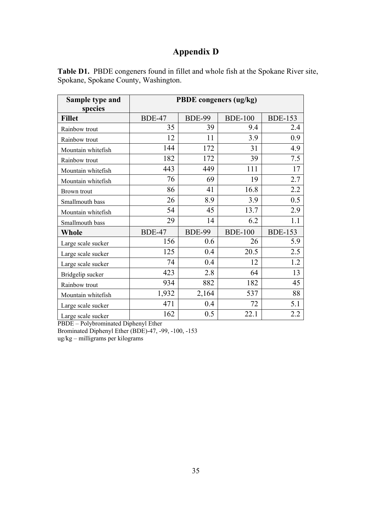# **Appendix D**

| <b>Table D1.</b> PBDE congeners found in fillet and whole fish at the Spokane River site, |  |  |
|-------------------------------------------------------------------------------------------|--|--|
| Spokane, Spokane County, Washington.                                                      |  |  |

| Sample type and    | <b>PBDE</b> congeners (ug/kg) |               |                |                |  |  |
|--------------------|-------------------------------|---------------|----------------|----------------|--|--|
| species            |                               |               |                |                |  |  |
| <b>Fillet</b>      | <b>BDE-47</b>                 | <b>BDE-99</b> | <b>BDE-100</b> | <b>BDE-153</b> |  |  |
| Rainbow trout      | 35                            | 39            | 9.4            | 2.4            |  |  |
| Rainbow trout      | 12                            | 11            | 3.9            | 0.9            |  |  |
| Mountain whitefish | 144                           | 172           | 31             | 4.9            |  |  |
| Rainbow trout      | 182                           | 172           | 39             | 7.5            |  |  |
| Mountain whitefish | 443                           | 449           | 111            | 17             |  |  |
| Mountain whitefish | 76                            | 69            | 19             | 2.7            |  |  |
| Brown trout        | 86                            | 41            | 16.8           | 2.2            |  |  |
| Smallmouth bass    | 26                            | 8.9           | 3.9            | 0.5            |  |  |
| Mountain whitefish | 54                            | 45            | 13.7           | 2.9            |  |  |
| Smallmouth bass    | 29                            | 14            | 6.2            | 1.1            |  |  |
| <b>Whole</b>       | <b>BDE-47</b>                 | <b>BDE-99</b> | <b>BDE-100</b> | <b>BDE-153</b> |  |  |
| Large scale sucker | 156                           | 0.6           | 26             | 5.9            |  |  |
| Large scale sucker | 125                           | 0.4           | 20.5           | 2.5            |  |  |
| Large scale sucker | 74                            | 0.4           | 12             | 1.2            |  |  |
| Bridgelip sucker   | 423                           | 2.8           | 64             | 13             |  |  |
| Rainbow trout      | 934                           | 882           | 182            | 45             |  |  |
| Mountain whitefish | 1,932                         | 2,164         | 537            | 88             |  |  |
| Large scale sucker | 471                           | 0.4           | 72             | 5.1            |  |  |
| Large scale sucker | 162                           | 0.5           | 22.1           | 2.2            |  |  |

PBDE – Polybrominated Diphenyl Ether Brominated Diphenyl Ether (BDE)-47, -99, -100, -153 ug/kg – milligrams per kilograms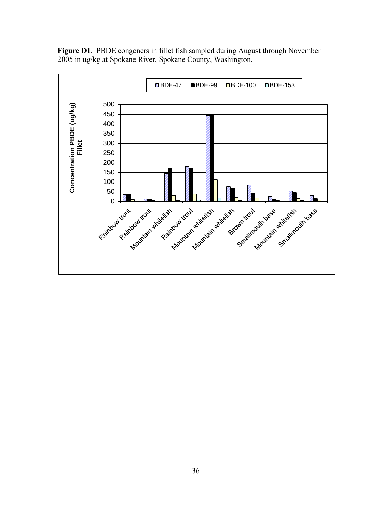

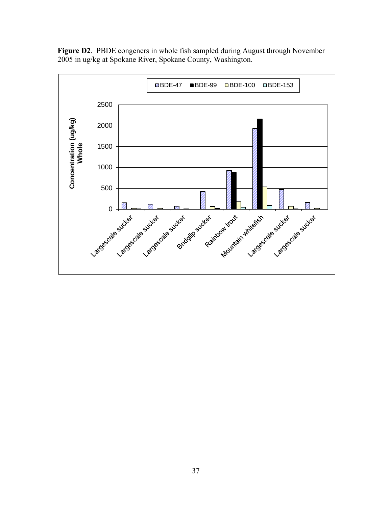

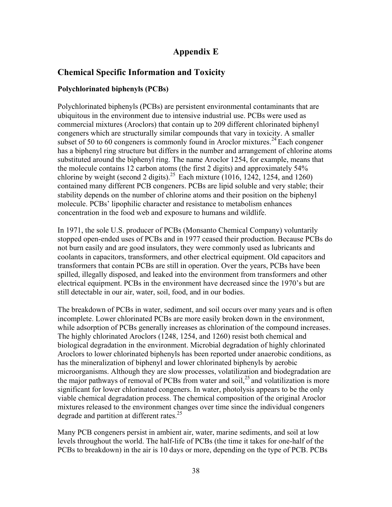## **Appendix E**

## **Chemical Specific Information and Toxicity**

## **Polychlorinated biphenyls (PCBs)**

Polychlorinated biphenyls (PCBs) are persistent environmental contaminants that are ubiquitous in the environment due to intensive industrial use. PCBs were used as commercial mixtures (Aroclors) that contain up to 209 different chlorinated biphenyl congeners which are structurally similar compounds that vary in toxicity. A smaller subset of 50 to 60 congeners is commonly found in Aroclor mixtures.<sup>24</sup> Each congener has a biphenyl ring structure but differs in the number and arrangement of chlorine atoms substituted around the biphenyl ring. The name Aroclor 1254, for example, means that the molecule contains 12 carbon atoms (the first 2 digits) and approximately 54% chlorine by weight (second 2 digits).<sup>25</sup> Each mixture (1016, 1242, 1254, and 1260) contained many different PCB congeners. PCBs are lipid soluble and very stable; their stability depends on the number of chlorine atoms and their position on the biphenyl molecule. PCBs' lipophilic character and resistance to metabolism enhances concentration in the food web and exposure to humans and wildlife.

In 1971, the sole U.S. producer of PCBs (Monsanto Chemical Company) voluntarily stopped open-ended uses of PCBs and in 1977 ceased their production. Because PCBs do not burn easily and are good insulators, they were commonly used as lubricants and coolants in capacitors, transformers, and other electrical equipment. Old capacitors and transformers that contain PCBs are still in operation. Over the years, PCBs have been spilled, illegally disposed, and leaked into the environment from transformers and other electrical equipment. PCBs in the environment have decreased since the 1970's but are still detectable in our air, water, soil, food, and in our bodies.

The breakdown of PCBs in water, sediment, and soil occurs over many years and is often incomplete. Lower chlorinated PCBs are more easily broken down in the environment, while adsorption of PCBs generally increases as chlorination of the compound increases. The highly chlorinated Aroclors (1248, 1254, and 1260) resist both chemical and biological degradation in the environment. Microbial degradation of highly chlorinated Aroclors to lower chlorinated biphenyls has been reported under anaerobic conditions, as has the mineralization of biphenyl and lower chlorinated biphenyls by aerobic microorganisms. Although they are slow processes, volatilization and biodegradation are the major pathways of removal of PCBs from water and soil, $^{25}$  and volatilization is more significant for lower chlorinated congeners. In water, photolysis appears to be the only viable chemical degradation process. The chemical composition of the original Aroclor mixtures released to the environment changes over time since the individual congeners degrade and partition at different rates.<sup>25</sup>

Many PCB congeners persist in ambient air, water, marine sediments, and soil at low levels throughout the world. The half-life of PCBs (the time it takes for one-half of the PCBs to breakdown) in the air is 10 days or more, depending on the type of PCB. PCBs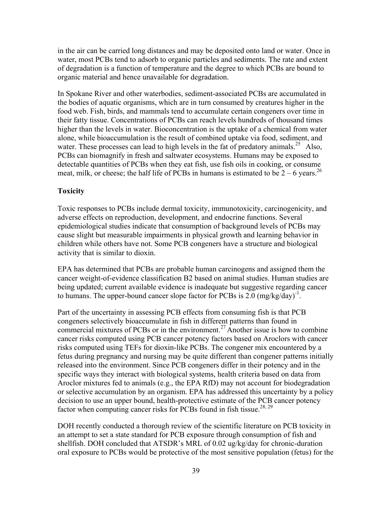in the air can be carried long distances and may be deposited onto land or water. Once in water, most PCBs tend to adsorb to organic particles and sediments. The rate and extent of degradation is a function of temperature and the degree to which PCBs are bound to organic material and hence unavailable for degradation.

In Spokane River and other waterbodies, sediment-associated PCBs are accumulated in the bodies of aquatic organisms, which are in turn consumed by creatures higher in the food web. Fish, birds, and mammals tend to accumulate certain congeners over time in their fatty tissue. Concentrations of PCBs can reach levels hundreds of thousand times higher than the levels in water. Bioconcentration is the uptake of a chemical from water alone, while bioaccumulation is the result of combined uptake via food, sediment, and water. These processes can lead to high levels in the fat of predatory animals.<sup>25</sup> Also, PCBs can biomagnify in fresh and saltwater ecosystems. Humans may be exposed to detectable quantities of PCBs when they eat fish, use fish oils in cooking, or consume meat, milk, or cheese; the half life of PCBs in humans is estimated to be  $2 - 6$  years.<sup>26</sup>

#### **Toxicity**

Toxic responses to PCBs include dermal toxicity, immunotoxicity, carcinogenicity, and adverse effects on reproduction, development, and endocrine functions. Several epidemiological studies indicate that consumption of background levels of PCBs may cause slight but measurable impairments in physical growth and learning behavior in children while others have not. Some PCB congeners have a structure and biological activity that is similar to dioxin.

EPA has determined that PCBs are probable human carcinogens and assigned them the cancer weight-of-evidence classification B2 based on animal studies. Human studies are being updated; current available evidence is inadequate but suggestive regarding cancer to humans. The upper-bound cancer slope factor for PCBs is  $2.0 \text{ (mg/kg/day)}^{-1}$ .

Part of the uncertainty in assessing PCB effects from consuming fish is that PCB congeners selectively bioaccumulate in fish in different patterns than found in commercial mixtures of PCBs or in the environment.<sup>27</sup> Another issue is how to combine cancer risks computed using PCB cancer potency factors based on Aroclors with cancer risks computed using TEFs for dioxin-like PCBs. The congener mix encountered by a fetus during pregnancy and nursing may be quite different than congener patterns initially released into the environment. Since PCB congeners differ in their potency and in the specific ways they interact with biological systems, health criteria based on data from Aroclor mixtures fed to animals (e.g., the EPA RfD) may not account for biodegradation or selective accumulation by an organism. EPA has addressed this uncertainty by a policy decision to use an upper bound, health-protective estimate of the PCB cancer potency factor when computing cancer risks for PCBs found in fish tissue.<sup>28, 29</sup>

DOH recently conducted a thorough review of the scientific literature on PCB toxicity in an attempt to set a state standard for PCB exposure through consumption of fish and shellfish. DOH concluded that ATSDR's MRL of 0.02 ug/kg/day for chronic-duration oral exposure to PCBs would be protective of the most sensitive population (fetus) for the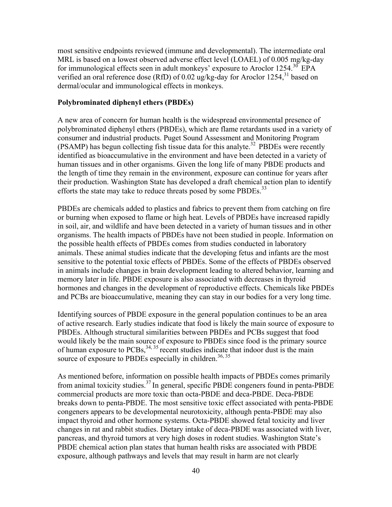most sensitive endpoints reviewed (immune and developmental). The intermediate oral MRL is based on a lowest observed adverse effect level (LOAEL) of 0.005 mg/kg-day for immunological effects seen in adult monkeys' exposure to Aroclor  $1254$ .<sup>30</sup> EPA verified an oral reference dose (RfD) of 0.02 ug/kg-day for Aroclor 1254, <sup>31</sup> based on dermal/ocular and immunological effects in monkeys.

#### **Polybrominated diphenyl ethers (PBDEs)**

A new area of concern for human health is the widespread environmental presence of polybrominated diphenyl ethers (PBDEs), which are flame retardants used in a variety of consumer and industrial products. Puget Sound Assessment and Monitoring Program (PSAMP) has begun collecting fish tissue data for this analyte.<sup>32</sup> PBDEs were recently identified as bioaccumulative in the environment and have been detected in a variety of human tissues and in other organisms. Given the long life of many PBDE products and the length of time they remain in the environment, exposure can continue for years after their production. Washington State has developed a draft chemical action plan to identify efforts the state may take to reduce threats posed by some PBDEs.<sup>33</sup>

PBDEs are chemicals added to plastics and fabrics to prevent them from catching on fire or burning when exposed to flame or high heat. Levels of PBDEs have increased rapidly in soil, air, and wildlife and have been detected in a variety of human tissues and in other organisms. The health impacts of PBDEs have not been studied in people. Information on the possible health effects of PBDEs comes from studies conducted in laboratory animals. These animal studies indicate that the developing fetus and infants are the most sensitive to the potential toxic effects of PBDEs. Some of the effects of PBDEs observed in animals include changes in brain development leading to altered behavior, learning and memory later in life. PBDE exposure is also associated with decreases in thyroid hormones and changes in the development of reproductive effects. Chemicals like PBDEs and PCBs are bioaccumulative, meaning they can stay in our bodies for a very long time.

Identifying sources of PBDE exposure in the general population continues to be an area of active research. Early studies indicate that food is likely the main source of exposure to PBDEs. Although structural similarities between PBDEs and PCBs suggest that food would likely be the main source of exposure to PBDEs since food is the primary source of human exposure to  $PCBs$ ,  $34$ ,  $35$  recent studies indicate that indoor dust is the main source of exposure to PBDEs especially in children.<sup>36, 35</sup>

As mentioned before, information on possible health impacts of PBDEs comes primarily from animal toxicity studies.<sup>37</sup> In general, specific PBDE congeners found in penta-PBDE commercial products are more toxic than octa-PBDE and deca-PBDE. Deca-PBDE breaks down to penta-PBDE. The most sensitive toxic effect associated with penta-PBDE congeners appears to be developmental neurotoxicity, although penta-PBDE may also impact thyroid and other hormone systems. Octa-PBDE showed fetal toxicity and liver changes in rat and rabbit studies. Dietary intake of deca-PBDE was associated with liver, pancreas, and thyroid tumors at very high doses in rodent studies. Washington State's PBDE chemical action plan states that human health risks are associated with PBDE exposure, although pathways and levels that may result in harm are not clearly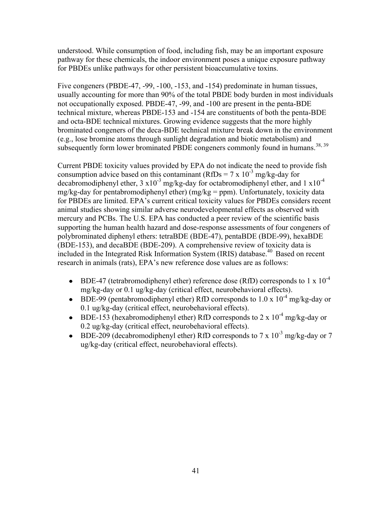understood. While consumption of food, including fish, may be an important exposure pathway for these chemicals, the indoor environment poses a unique exposure pathway for PBDEs unlike pathways for other persistent bioaccumulative toxins.

Five congeners (PBDE-47, -99, -100, -153, and -154) predominate in human tissues, usually accounting for more than 90% of the total PBDE body burden in most individuals not occupationally exposed. PBDE-47, -99, and -100 are present in the penta-BDE technical mixture, whereas PBDE-153 and -154 are constituents of both the penta-BDE and octa-BDE technical mixtures. Growing evidence suggests that the more highly brominated congeners of the deca-BDE technical mixture break down in the environment (e.g., lose bromine atoms through sunlight degradation and biotic metabolism) and subsequently form lower brominated PBDE congeners commonly found in humans.<sup>38, 39</sup>

Current PBDE toxicity values provided by EPA do not indicate the need to provide fish consumption advice based on this contaminant (RfDs =  $7 \times 10^{-3}$  mg/kg-day for decabromodiphenyl ether,  $3 \times 10^{-3}$  mg/kg-day for octabromodiphenyl ether, and  $1 \times 10^{-4}$ mg/kg-day for pentabromodiphenyl ether) (mg/kg = ppm). Unfortunately, toxicity data for PBDEs are limited. EPA's current critical toxicity values for PBDEs considers recent animal studies showing similar adverse neurodevelopmental effects as observed with mercury and PCBs. The U.S. EPA has conducted a peer review of the scientific basis supporting the human health hazard and dose-response assessments of four congeners of polybrominated diphenyl ethers: tetraBDE (BDE-47), pentaBDE (BDE-99), hexaBDE (BDE-153), and decaBDE (BDE-209). A comprehensive review of toxicity data is included in the Integrated Risk Information System (IRIS) database.<sup>40</sup> Based on recent research in animals (rats), EPA's new reference dose values are as follows:

- BDE-47 (tetrabromodiphenyl ether) reference dose (RfD) corresponds to 1 x  $10^{-4}$ mg/kg-day or 0.1 ug/kg-day (critical effect, neurobehavioral effects).
- BDE-99 (pentabromodiphenyl ether) RfD corresponds to  $1.0 \times 10^{-4}$  mg/kg-day or 0.1 ug/kg-day (critical effect, neurobehavioral effects).
- BDE-153 (hexabromodiphenyl ether) RfD corresponds to  $2 \times 10^{-4}$  mg/kg-day or 0.2 ug/kg-day (critical effect, neurobehavioral effects).
- BDE-209 (decabromodiphenyl ether) RfD corresponds to  $7 \times 10^{-3}$  mg/kg-day or  $7 \times 10^{-3}$ ug/kg-day (critical effect, neurobehavioral effects).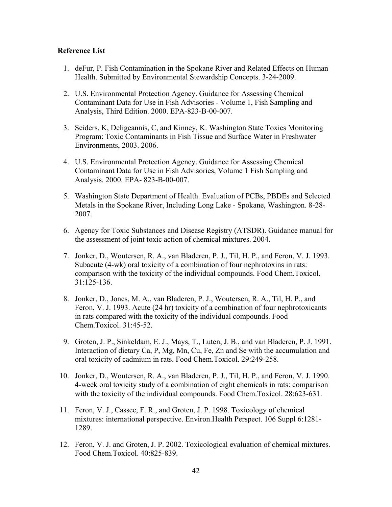#### **Reference List**

- 1. deFur, P. Fish Contamination in the Spokane River and Related Effects on Human Health. Submitted by Environmental Stewardship Concepts. 3-24-2009.
- 2. U.S. Environmental Protection Agency. Guidance for Assessing Chemical Contaminant Data for Use in Fish Advisories - Volume 1, Fish Sampling and Analysis, Third Edition. 2000. EPA-823-B-00-007.
- 3. Seiders, K, Deligeannis, C, and Kinney, K. Washington State Toxics Monitoring Program: Toxic Contaminants in Fish Tissue and Surface Water in Freshwater Environments, 2003. 2006.
- 4. U.S. Environmental Protection Agency. Guidance for Assessing Chemical Contaminant Data for Use in Fish Advisories, Volume 1 Fish Sampling and Analysis. 2000. EPA- 823-B-00-007.
- 5. Washington State Department of Health. Evaluation of PCBs, PBDEs and Selected Metals in the Spokane River, Including Long Lake - Spokane, Washington. 8-28- 2007.
- 6. Agency for Toxic Substances and Disease Registry (ATSDR). Guidance manual for the assessment of joint toxic action of chemical mixtures. 2004.
- 7. Jonker, D., Woutersen, R. A., van Bladeren, P. J., Til, H. P., and Feron, V. J. 1993. Subacute (4-wk) oral toxicity of a combination of four nephrotoxins in rats: comparison with the toxicity of the individual compounds. Food Chem.Toxicol. 31:125-136.
- 8. Jonker, D., Jones, M. A., van Bladeren, P. J., Woutersen, R. A., Til, H. P., and Feron, V. J. 1993. Acute (24 hr) toxicity of a combination of four nephrotoxicants in rats compared with the toxicity of the individual compounds. Food Chem.Toxicol. 31:45-52.
- 9. Groten, J. P., Sinkeldam, E. J., Mays, T., Luten, J. B., and van Bladeren, P. J. 1991. Interaction of dietary Ca, P, Mg, Mn, Cu, Fe, Zn and Se with the accumulation and oral toxicity of cadmium in rats. Food Chem.Toxicol. 29:249-258.
- 10. Jonker, D., Woutersen, R. A., van Bladeren, P. J., Til, H. P., and Feron, V. J. 1990. 4-week oral toxicity study of a combination of eight chemicals in rats: comparison with the toxicity of the individual compounds. Food Chem.Toxicol. 28:623-631.
- 11. Feron, V. J., Cassee, F. R., and Groten, J. P. 1998. Toxicology of chemical mixtures: international perspective. Environ.Health Perspect. 106 Suppl 6:1281- 1289.
- 12. Feron, V. J. and Groten, J. P. 2002. Toxicological evaluation of chemical mixtures. Food Chem.Toxicol. 40:825-839.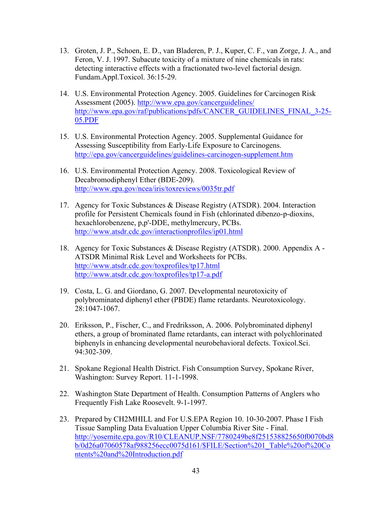- 13. Groten, J. P., Schoen, E. D., van Bladeren, P. J., Kuper, C. F., van Zorge, J. A., and Feron, V. J. 1997. Subacute toxicity of a mixture of nine chemicals in rats: detecting interactive effects with a fractionated two-level factorial design. Fundam.Appl.Toxicol. 36:15-29.
- 14. U.S. Environmental Protection Agency. 2005. Guidelines for Carcinogen Risk Assessment (2005).<http://www.epa.gov/cancerguidelines/> [http://www.epa.gov/raf/publications/pdfs/CANCER\\_GUIDELINES\\_FINAL\\_3-25-](http://www.epa.gov/raf/publications/pdfs/CANCER_GUIDELINES_FINAL_3-25-05.PDF) [05.PDF](http://www.epa.gov/raf/publications/pdfs/CANCER_GUIDELINES_FINAL_3-25-05.PDF)
- 15. U.S. Environmental Protection Agency. 2005. Supplemental Guidance for Assessing Susceptibility from Early-Life Exposure to Carcinogens. <http://epa.gov/cancerguidelines/guidelines-carcinogen-supplement.htm>
- 16. U.S. Environmental Protection Agency. 2008. Toxicological Review of Decabromodiphenyl Ether (BDE-209). <http://www.epa.gov/ncea/iris/toxreviews/0035tr.pdf>
- 17. Agency for Toxic Substances & Disease Registry (ATSDR). 2004. Interaction profile for Persistent Chemicals found in Fish (chlorinated dibenzo-p-dioxins, hexachlorobenzene, p,p'-DDE, methylmercury, PCBs. <http://www.atsdr.cdc.gov/interactionprofiles/ip01.html>
- 18. Agency for Toxic Substances & Disease Registry (ATSDR). 2000. Appendix A ATSDR Minimal Risk Level and Worksheets for PCBs. <http://www.atsdr.cdc.gov/toxprofiles/tp17.html> <http://www.atsdr.cdc.gov/toxprofiles/tp17-a.pdf>
- 19. Costa, L. G. and Giordano, G. 2007. Developmental neurotoxicity of polybrominated diphenyl ether (PBDE) flame retardants. Neurotoxicology. 28:1047-1067.
- 20. Eriksson, P., Fischer, C., and Fredriksson, A. 2006. Polybrominated diphenyl ethers, a group of brominated flame retardants, can interact with polychlorinated biphenyls in enhancing developmental neurobehavioral defects. Toxicol.Sci. 94:302-309.
- 21. Spokane Regional Health District. Fish Consumption Survey, Spokane River, Washington: Survey Report. 11-1-1998.
- 22. Washington State Department of Health. Consumption Patterns of Anglers who Frequently Fish Lake Roosevelt. 9-1-1997.
- 23. Prepared by CH2MHILL and For U.S.EPA Region 10. 10-30-2007. Phase I Fish Tissue Sampling Data Evaluation Upper Columbia River Site - Final. [http://yosemite.epa.gov/R10/CLEANUP.NSF/7780249be8f251538825650f0070bd8](http://yosemite.epa.gov/R10/CLEANUP.NSF/7780249be8f251538825650f0070bd8b/0d26a07060578af988256ecc0075d161/$FILE/Section%201_Table%20of%20Contents%20and%20Introduction.pdf) [b/0d26a07060578af988256ecc0075d161/\\$FILE/Section%201\\_Table%20of%20Co](http://yosemite.epa.gov/R10/CLEANUP.NSF/7780249be8f251538825650f0070bd8b/0d26a07060578af988256ecc0075d161/$FILE/Section%201_Table%20of%20Contents%20and%20Introduction.pdf) [ntents%20and%20Introduction.pdf](http://yosemite.epa.gov/R10/CLEANUP.NSF/7780249be8f251538825650f0070bd8b/0d26a07060578af988256ecc0075d161/$FILE/Section%201_Table%20of%20Contents%20and%20Introduction.pdf)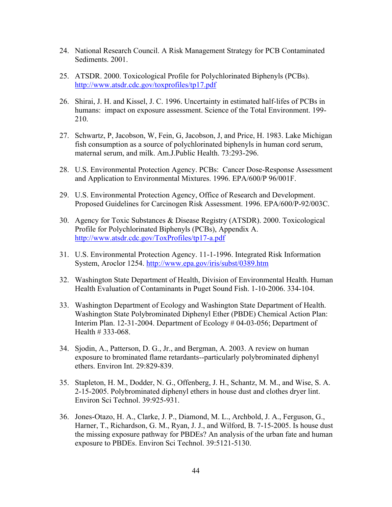- 24. National Research Council. A Risk Management Strategy for PCB Contaminated Sediments. 2001.
- 25. ATSDR. 2000. Toxicological Profile for Polychlorinated Biphenyls (PCBs). <http://www.atsdr.cdc.gov/toxprofiles/tp17.pdf>
- 26. Shirai, J. H. and Kissel, J. C. 1996. Uncertainty in estimated half-lifes of PCBs in humans: impact on exposure assessment. Science of the Total Environment. 199- 210.
- 27. Schwartz, P, Jacobson, W, Fein, G, Jacobson, J, and Price, H. 1983. Lake Michigan fish consumption as a source of polychlorinated biphenyls in human cord serum, maternal serum, and milk. Am.J.Public Health. 73:293-296.
- 28. U.S. Environmental Protection Agency. PCBs: Cancer Dose-Response Assessment and Application to Environmental Mixtures. 1996. EPA/600/P 96/001F.
- 29. U.S. Environmental Protection Agency, Office of Research and Development. Proposed Guidelines for Carcinogen Risk Assessment. 1996. EPA/600/P-92/003C.
- 30. Agency for Toxic Substances & Disease Registry (ATSDR). 2000. Toxicological Profile for Polychlorinated Biphenyls (PCBs), Appendix A. <http://www.atsdr.cdc.gov/ToxProfiles/tp17-a.pdf>
- 31. U.S. Environmental Protection Agency. 11-1-1996. Integrated Risk Information System, Aroclor 1254.<http://www.epa.gov/iris/subst/0389.htm>
- 32. Washington State Department of Health, Division of Environmental Health. Human Health Evaluation of Contaminants in Puget Sound Fish. 1-10-2006. 334-104.
- 33. Washington Department of Ecology and Washington State Department of Health. Washington State Polybrominated Diphenyl Ether (PBDE) Chemical Action Plan: Interim Plan. 12-31-2004. Department of Ecology # 04-03-056; Department of Health # 333-068.
- 34. Sjodin, A., Patterson, D. G., Jr., and Bergman, A. 2003. A review on human exposure to brominated flame retardants--particularly polybrominated diphenyl ethers. Environ Int. 29:829-839.
- 35. Stapleton, H. M., Dodder, N. G., Offenberg, J. H., Schantz, M. M., and Wise, S. A. 2-15-2005. Polybrominated diphenyl ethers in house dust and clothes dryer lint. Environ Sci Technol. 39:925-931.
- 36. Jones-Otazo, H. A., Clarke, J. P., Diamond, M. L., Archbold, J. A., Ferguson, G., Harner, T., Richardson, G. M., Ryan, J. J., and Wilford, B. 7-15-2005. Is house dust the missing exposure pathway for PBDEs? An analysis of the urban fate and human exposure to PBDEs. Environ Sci Technol. 39:5121-5130.